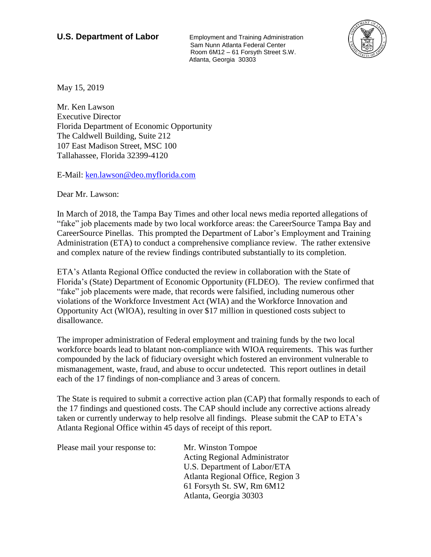**U.S. Department of Labor** Employment and Training Administration Sam Nunn Atlanta Federal Center Room 6M12 – 61 Forsyth Street S.W. Atlanta, Georgia 30303



May 15, 2019

Mr. Ken Lawson Executive Director Florida Department of Economic Opportunity The Caldwell Building, Suite 212 107 East Madison Street, MSC 100 Tallahassee, Florida 32399-4120

E-Mail: [ken.lawson@deo.myflorida.com](mailto:ken.lawson@deo.myflorida.com)

Dear Mr. Lawson:

In March of 2018, the Tampa Bay Times and other local news media reported allegations of "fake" job placements made by two local workforce areas: the CareerSource Tampa Bay and CareerSource Pinellas. This prompted the Department of Labor's Employment and Training Administration (ETA) to conduct a comprehensive compliance review. The rather extensive and complex nature of the review findings contributed substantially to its completion.

ETA's Atlanta Regional Office conducted the review in collaboration with the State of Florida's (State) Department of Economic Opportunity (FLDEO). The review confirmed that "fake" job placements were made, that records were falsified, including numerous other violations of the Workforce Investment Act (WIA) and the Workforce Innovation and Opportunity Act (WIOA), resulting in over \$17 million in questioned costs subject to disallowance.

The improper administration of Federal employment and training funds by the two local workforce boards lead to blatant non-compliance with WIOA requirements. This was further compounded by the lack of fiduciary oversight which fostered an environment vulnerable to mismanagement, waste, fraud, and abuse to occur undetected. This report outlines in detail each of the 17 findings of non-compliance and 3 areas of concern.

The State is required to submit a corrective action plan (CAP) that formally responds to each of the 17 findings and questioned costs. The CAP should include any corrective actions already taken or currently underway to help resolve all findings. Please submit the CAP to ETA's Atlanta Regional Office within 45 days of receipt of this report.

Please mail your response to: Mr. Winston Tompoe Acting Regional Administrator U.S. Department of Labor/ETA Atlanta Regional Office, Region 3 61 Forsyth St. SW, Rm 6M12 Atlanta, Georgia 30303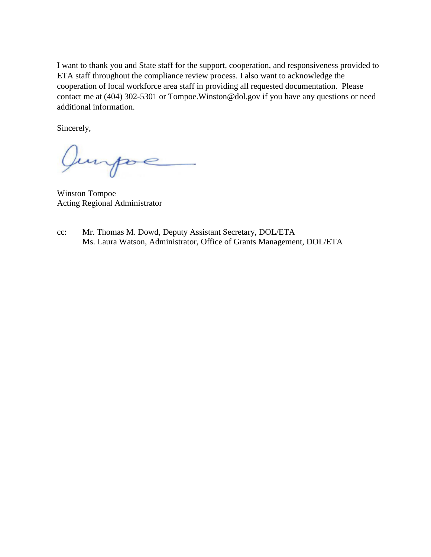I want to thank you and State staff for the support, cooperation, and responsiveness provided to ETA staff throughout the compliance review process. I also want to acknowledge the cooperation of local workforce area staff in providing all requested documentation. Please contact me at (404) 302-5301 or Tompoe.Winston@dol.gov if you have any questions or need additional information.

Sincerely,

Jurpoe

Winston Tompoe Acting Regional Administrator

cc: Mr. Thomas M. Dowd, Deputy Assistant Secretary, DOL/ETA Ms. Laura Watson, Administrator, Office of Grants Management, DOL/ETA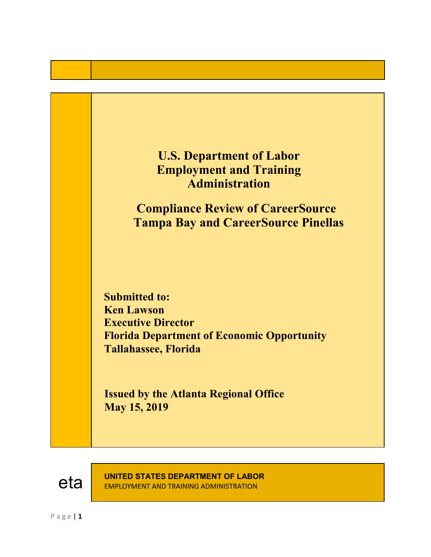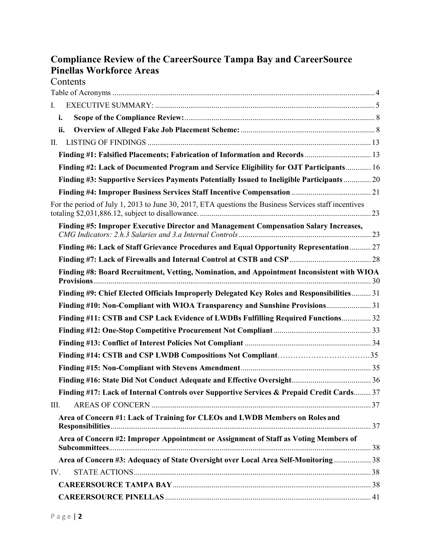# **Compliance Review of the CareerSource Tampa Bay and CareerSource Pinellas Workforce Areas Contents**

| I.   |                                                                                                       |  |
|------|-------------------------------------------------------------------------------------------------------|--|
|      | i.                                                                                                    |  |
|      | ii.                                                                                                   |  |
| П.   |                                                                                                       |  |
|      | Finding #1: Falsified Placements; Fabrication of Information and Records  13                          |  |
|      | Finding #2: Lack of Documented Program and Service Eligibility for OJT Participants 16                |  |
|      | Finding #3: Supportive Services Payments Potentially Issued to Ineligible Participants  20            |  |
|      |                                                                                                       |  |
|      | For the period of July 1, 2013 to June 30, 2017, ETA questions the Business Services staff incentives |  |
|      | Finding #5: Improper Executive Director and Management Compensation Salary Increases,                 |  |
|      | Finding #6: Lack of Staff Grievance Procedures and Equal Opportunity Representation 27                |  |
|      |                                                                                                       |  |
|      | Finding #8: Board Recruitment, Vetting, Nomination, and Appointment Inconsistent with WIOA            |  |
|      | Finding #9: Chief Elected Officials Improperly Delegated Key Roles and Responsibilities 31            |  |
|      | Finding #10: Non-Compliant with WIOA Transparency and Sunshine Provisions 31                          |  |
|      | Finding #11: CSTB and CSP Lack Evidence of LWDBs Fulfilling Required Functions 32                     |  |
|      |                                                                                                       |  |
|      |                                                                                                       |  |
|      |                                                                                                       |  |
|      |                                                                                                       |  |
|      |                                                                                                       |  |
|      | Finding #17: Lack of Internal Controls over Supportive Services & Prepaid Credit Cards 37             |  |
| III. |                                                                                                       |  |
|      | Area of Concern #1: Lack of Training for CLEOs and LWDB Members on Roles and                          |  |
|      | Area of Concern #2: Improper Appointment or Assignment of Staff as Voting Members of                  |  |
|      | Area of Concern #3: Adequacy of State Oversight over Local Area Self-Monitoring  38                   |  |
| IV.  |                                                                                                       |  |
|      |                                                                                                       |  |
|      |                                                                                                       |  |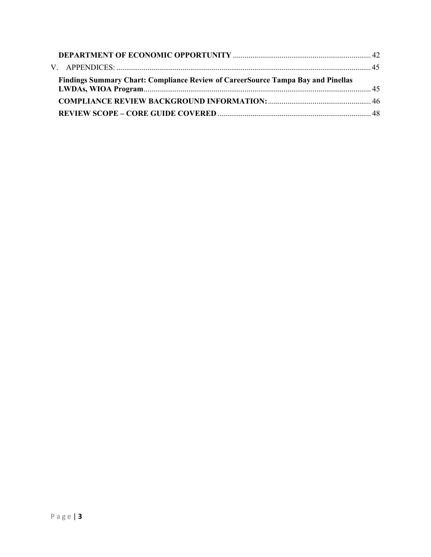| <b>Findings Summary Chart: Compliance Review of CareerSource Tampa Bay and Pinellas</b> |  |
|-----------------------------------------------------------------------------------------|--|
|                                                                                         |  |
|                                                                                         |  |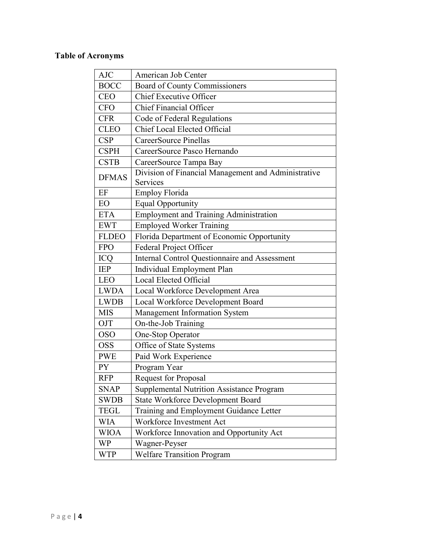# <span id="page-5-0"></span>**Table of Acronyms**

| American Job Center                                             |  |  |  |
|-----------------------------------------------------------------|--|--|--|
| Board of County Commissioners                                   |  |  |  |
| <b>Chief Executive Officer</b>                                  |  |  |  |
| <b>Chief Financial Officer</b>                                  |  |  |  |
| Code of Federal Regulations                                     |  |  |  |
| <b>Chief Local Elected Official</b>                             |  |  |  |
| CareerSource Pinellas                                           |  |  |  |
| CareerSource Pasco Hernando                                     |  |  |  |
| CareerSource Tampa Bay                                          |  |  |  |
| Division of Financial Management and Administrative<br>Services |  |  |  |
| Employ Florida                                                  |  |  |  |
| <b>Equal Opportunity</b>                                        |  |  |  |
| <b>Employment and Training Administration</b>                   |  |  |  |
| <b>Employed Worker Training</b>                                 |  |  |  |
| Florida Department of Economic Opportunity                      |  |  |  |
| <b>Federal Project Officer</b>                                  |  |  |  |
| <b>Internal Control Questionnaire and Assessment</b>            |  |  |  |
| Individual Employment Plan                                      |  |  |  |
| Local Elected Official                                          |  |  |  |
| Local Workforce Development Area                                |  |  |  |
| Local Workforce Development Board                               |  |  |  |
| Management Information System                                   |  |  |  |
| On-the-Job Training                                             |  |  |  |
| One-Stop Operator                                               |  |  |  |
| Office of State Systems                                         |  |  |  |
| Paid Work Experience                                            |  |  |  |
| Program Year                                                    |  |  |  |
| <b>Request for Proposal</b>                                     |  |  |  |
| <b>Supplemental Nutrition Assistance Program</b>                |  |  |  |
| <b>State Workforce Development Board</b>                        |  |  |  |
| Training and Employment Guidance Letter                         |  |  |  |
| Workforce Investment Act                                        |  |  |  |
| Workforce Innovation and Opportunity Act                        |  |  |  |
| Wagner-Peyser                                                   |  |  |  |
| <b>Welfare Transition Program</b>                               |  |  |  |
|                                                                 |  |  |  |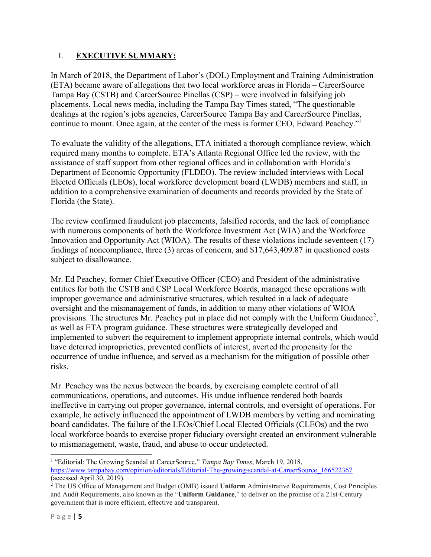## <span id="page-6-0"></span>I. **EXECUTIVE SUMMARY:**

In March of 2018, the Department of Labor's (DOL) Employment and Training Administration (ETA) became aware of allegations that two local workforce areas in Florida – CareerSource Tampa Bay (CSTB) and CareerSource Pinellas (CSP) – were involved in falsifying job placements. Local news media, including the Tampa Bay Times stated, "The questionable dealings at the region's jobs agencies, CareerSource Tampa Bay and CareerSource Pinellas, continue to mount. Once again, at the center of the mess is former CEO, Edward Peachey."<sup>[1](#page-6-1)</sup>

To evaluate the validity of the allegations, ETA initiated a thorough compliance review, which required many months to complete. ETA's Atlanta Regional Office led the review, with the assistance of staff support from other regional offices and in collaboration with Florida's Department of Economic Opportunity (FLDEO). The review included interviews with Local Elected Officials (LEOs), local workforce development board (LWDB) members and staff, in addition to a comprehensive examination of documents and records provided by the State of Florida (the State).

The review confirmed fraudulent job placements, falsified records, and the lack of compliance with numerous components of both the Workforce Investment Act (WIA) and the Workforce Innovation and Opportunity Act (WIOA). The results of these violations include seventeen (17) findings of noncompliance, three (3) areas of concern, and \$17,643,409.87 in questioned costs subject to disallowance.

Mr. Ed Peachey, former Chief Executive Officer (CEO) and President of the administrative entities for both the CSTB and CSP Local Workforce Boards, managed these operations with improper governance and administrative structures, which resulted in a lack of adequate oversight and the mismanagement of funds, in addition to many other violations of WIOA provisions. The structures Mr. Peachey put in place did not comply with the Uniform Guidance<sup>[2](#page-6-2)</sup>, as well as ETA program guidance. These structures were strategically developed and implemented to subvert the requirement to implement appropriate internal controls, which would have deterred improprieties, prevented conflicts of interest, averted the propensity for the occurrence of undue influence, and served as a mechanism for the mitigation of possible other risks.

Mr. Peachey was the nexus between the boards, by exercising complete control of all communications, operations, and outcomes. His undue influence rendered both boards ineffective in carrying out proper governance, internal controls, and oversight of operations. For example, he actively influenced the appointment of LWDB members by vetting and nominating board candidates. The failure of the LEOs/Chief Local Elected Officials (CLEOs) and the two local workforce boards to exercise proper fiduciary oversight created an environment vulnerable to mismanagement, waste, fraud, and abuse to occur undetected.

<span id="page-6-1"></span> <sup>1</sup> "Editorial: The Growing Scandal at CareerSource," *Tampa Bay Times*, March 19, 2018, [https://www.tampabay.com/opinion/editorials/Editorial-The-growing-scandal-at-CareerSource\\_166522367](https://www.tampabay.com/opinion/editorials/Editorial-The-growing-scandal-at-CareerSource_166522367) (accessed April 30, 2019).

<span id="page-6-2"></span><sup>2</sup> The US Office of Management and Budget (OMB) issued **Uniform** Administrative Requirements, Cost Principles and Audit Requirements, also known as the "**Uniform Guidance**," to deliver on the promise of a 21st-Century government that is more efficient, effective and transparent.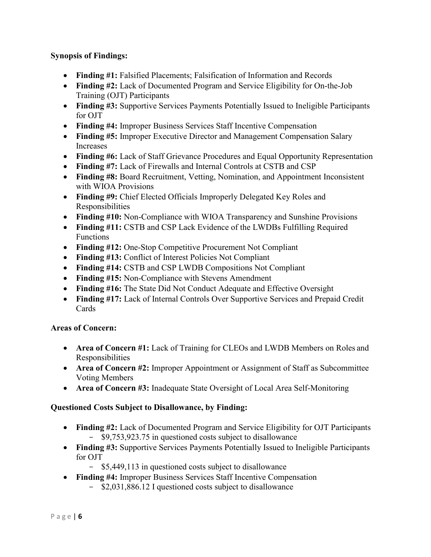## **Synopsis of Findings:**

- **Finding #1:** Falsified Placements; Falsification of Information and Records
- **Finding #2:** Lack of Documented Program and Service Eligibility for On-the-Job Training (OJT) Participants
- **Finding #3:** Supportive Services Payments Potentially Issued to Ineligible Participants for OJT
- **Finding #4:** Improper Business Services Staff Incentive Compensation
- **Finding #5:** Improper Executive Director and Management Compensation Salary Increases
- **Finding #6:** Lack of Staff Grievance Procedures and Equal Opportunity Representation
- **Finding #7:** Lack of Firewalls and Internal Controls at CSTB and CSP
- **Finding #8:** Board Recruitment, Vetting, Nomination, and Appointment Inconsistent with WIOA Provisions
- **Finding #9:** Chief Elected Officials Improperly Delegated Key Roles and Responsibilities
- **Finding #10:** Non-Compliance with WIOA Transparency and Sunshine Provisions
- **Finding #11:** CSTB and CSP Lack Evidence of the LWDBs Fulfilling Required Functions
- **Finding #12:** One-Stop Competitive Procurement Not Compliant
- **Finding #13:** Conflict of Interest Policies Not Compliant
- **Finding #14:** CSTB and CSP LWDB Compositions Not Compliant
- **Finding #15:** Non-Compliance with Stevens Amendment
- **Finding #16:** The State Did Not Conduct Adequate and Effective Oversight
- **Finding #17:** Lack of Internal Controls Over Supportive Services and Prepaid Credit Cards

## **Areas of Concern:**

- **Area of Concern #1:** Lack of Training for CLEOs and LWDB Members on Roles and Responsibilities
- **Area of Concern #2:** Improper Appointment or Assignment of Staff as Subcommittee Voting Members
- **Area of Concern #3:** Inadequate State Oversight of Local Area Self-Monitoring

## **Questioned Costs Subject to Disallowance, by Finding:**

- **Finding #2:** Lack of Documented Program and Service Eligibility for OJT Participants - \$9,753,923.75 in questioned costs subject to disallowance
- **Finding #3:** Supportive Services Payments Potentially Issued to Ineligible Participants for OJT
	- \$5,449,113 in questioned costs subject to disallowance
- **Finding #4:** Improper Business Services Staff Incentive Compensation
	- \$2,031,886.12 I questioned costs subject to disallowance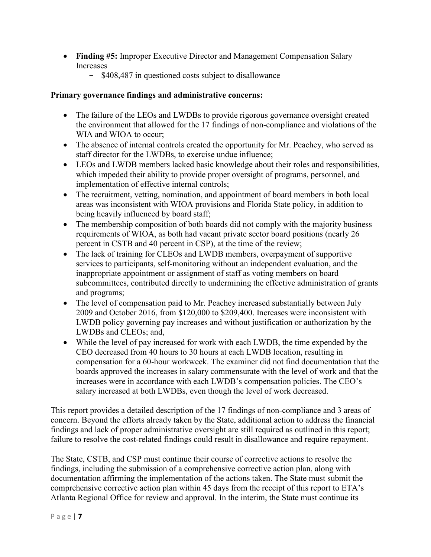- **Finding #5:** Improper Executive Director and Management Compensation Salary Increases
	- \$408,487 in questioned costs subject to disallowance

## **Primary governance findings and administrative concerns:**

- The failure of the LEOs and LWDBs to provide rigorous governance oversight created the environment that allowed for the 17 findings of non-compliance and violations of the WIA and WIOA to occur;
- The absence of internal controls created the opportunity for Mr. Peachey, who served as staff director for the LWDBs, to exercise undue influence;
- LEOs and LWDB members lacked basic knowledge about their roles and responsibilities, which impeded their ability to provide proper oversight of programs, personnel, and implementation of effective internal controls;
- The recruitment, vetting, nomination, and appointment of board members in both local areas was inconsistent with WIOA provisions and Florida State policy, in addition to being heavily influenced by board staff;
- The membership composition of both boards did not comply with the majority business requirements of WIOA, as both had vacant private sector board positions (nearly 26 percent in CSTB and 40 percent in CSP), at the time of the review;
- The lack of training for CLEOs and LWDB members, overpayment of supportive services to participants, self-monitoring without an independent evaluation, and the inappropriate appointment or assignment of staff as voting members on board subcommittees, contributed directly to undermining the effective administration of grants and programs;
- The level of compensation paid to Mr. Peachey increased substantially between July 2009 and October 2016, from \$120,000 to \$209,400. Increases were inconsistent with LWDB policy governing pay increases and without justification or authorization by the LWDBs and CLEOs; and,
- While the level of pay increased for work with each LWDB, the time expended by the CEO decreased from 40 hours to 30 hours at each LWDB location, resulting in compensation for a 60-hour workweek. The examiner did not find documentation that the boards approved the increases in salary commensurate with the level of work and that the increases were in accordance with each LWDB's compensation policies. The CEO's salary increased at both LWDBs, even though the level of work decreased.

This report provides a detailed description of the 17 findings of non-compliance and 3 areas of concern. Beyond the efforts already taken by the State, additional action to address the financial findings and lack of proper administrative oversight are still required as outlined in this report; failure to resolve the cost-related findings could result in disallowance and require repayment.

The State, CSTB, and CSP must continue their course of corrective actions to resolve the findings, including the submission of a comprehensive corrective action plan, along with documentation affirming the implementation of the actions taken. The State must submit the comprehensive corrective action plan within 45 days from the receipt of this report to ETA's Atlanta Regional Office for review and approval. In the interim, the State must continue its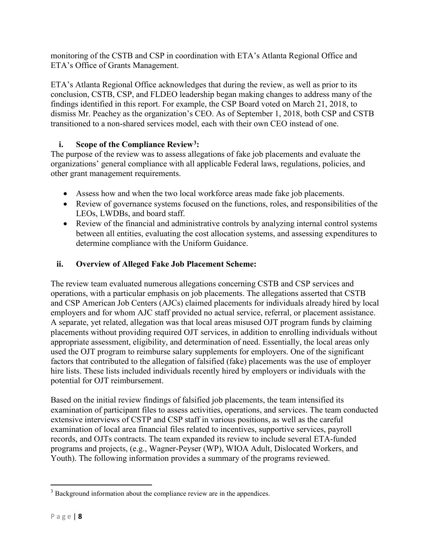monitoring of the CSTB and CSP in coordination with ETA's Atlanta Regional Office and ETA's Office of Grants Management.

ETA's Atlanta Regional Office acknowledges that during the review, as well as prior to its conclusion, CSTB, CSP, and FLDEO leadership began making changes to address many of the findings identified in this report. For example, the CSP Board voted on March 21, 2018, to dismiss Mr. Peachey as the organization's CEO. As of September 1, 2018, both CSP and CSTB transitioned to a non-shared services model, each with their own CEO instead of one.

# <span id="page-9-0"></span>**i. Scope of the Compliance Review[3](#page-9-2):**

The purpose of the review was to assess allegations of fake job placements and evaluate the organizations' general compliance with all applicable Federal laws, regulations, policies, and other grant management requirements.

- Assess how and when the two local workforce areas made fake job placements.
- Review of governance systems focused on the functions, roles, and responsibilities of the LEOs, LWDBs, and board staff.
- Review of the financial and administrative controls by analyzing internal control systems between all entities, evaluating the cost allocation systems, and assessing expenditures to determine compliance with the Uniform Guidance.

# <span id="page-9-1"></span>**ii. Overview of Alleged Fake Job Placement Scheme:**

The review team evaluated numerous allegations concerning CSTB and CSP services and operations, with a particular emphasis on job placements. The allegations asserted that CSTB and CSP American Job Centers (AJCs) claimed placements for individuals already hired by local employers and for whom AJC staff provided no actual service, referral, or placement assistance. A separate, yet related, allegation was that local areas misused OJT program funds by claiming placements without providing required OJT services, in addition to enrolling individuals without appropriate assessment, eligibility, and determination of need. Essentially, the local areas only used the OJT program to reimburse salary supplements for employers. One of the significant factors that contributed to the allegation of falsified (fake) placements was the use of employer hire lists. These lists included individuals recently hired by employers or individuals with the potential for OJT reimbursement.

Based on the initial review findings of falsified job placements, the team intensified its examination of participant files to assess activities, operations, and services. The team conducted extensive interviews of CSTP and CSP staff in various positions, as well as the careful examination of local area financial files related to incentives, supportive services, payroll records, and OJTs contracts. The team expanded its review to include several ETA-funded programs and projects, (e.g., Wagner-Peyser (WP), WIOA Adult, Dislocated Workers, and Youth). The following information provides a summary of the programs reviewed.

<span id="page-9-2"></span><sup>&</sup>lt;sup>3</sup> Background information about the compliance review are in the appendices.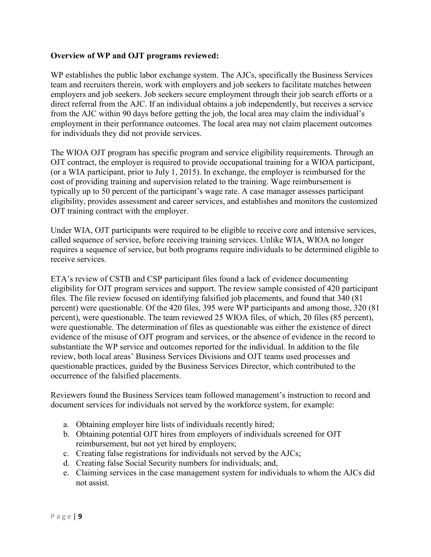#### **Overview of WP and OJT programs reviewed:**

WP establishes the public labor exchange system. The AJCs, specifically the Business Services team and recruiters therein, work with employers and job seekers to facilitate matches between employers and job seekers. Job seekers secure employment through their job search efforts or a direct referral from the AJC. If an individual obtains a job independently, but receives a service from the AJC within 90 days before getting the job, the local area may claim the individual's employment in their performance outcomes. The local area may not claim placement outcomes for individuals they did not provide services.

The WIOA OJT program has specific program and service eligibility requirements. Through an OJT contract, the employer is required to provide occupational training for a WIOA participant, (or a WIA participant, prior to July 1, 2015). In exchange, the employer is reimbursed for the cost of providing training and supervision related to the training. Wage reimbursement is typically up to 50 percent of the participant's wage rate. A case manager assesses participant eligibility, provides assessment and career services, and establishes and monitors the customized OJT training contract with the employer.

Under WIA, OJT participants were required to be eligible to receive core and intensive services, called sequence of service, before receiving training services. Unlike WIA, WIOA no longer requires a sequence of service, but both programs require individuals to be determined eligible to receive services.

ETA's review of CSTB and CSP participant files found a lack of evidence documenting eligibility for OJT program services and support. The review sample consisted of 420 participant files. The file review focused on identifying falsified job placements, and found that 340 (81 percent) were questionable. Of the 420 files, 395 were WP participants and among those, 320 (81 percent), were questionable. The team reviewed 25 WIOA files, of which, 20 files (85 percent), were questionable. The determination of files as questionable was either the existence of direct evidence of the misuse of OJT program and services, or the absence of evidence in the record to substantiate the WP service and outcomes reported for the individual. In addition to the file review, both local areas' Business Services Divisions and OJT teams used processes and questionable practices, guided by the Business Services Director, which contributed to the occurrence of the falsified placements.

Reviewers found the Business Services team followed management's instruction to record and document services for individuals not served by the workforce system, for example:

- a. Obtaining employer hire lists of individuals recently hired;
- b. Obtaining potential OJT hires from employers of individuals screened for OJT reimbursement, but not yet hired by employers;
- c. Creating false registrations for individuals not served by the AJCs;
- d. Creating false Social Security numbers for individuals; and,
- e. Claiming services in the case management system for individuals to whom the AJCs did not assist.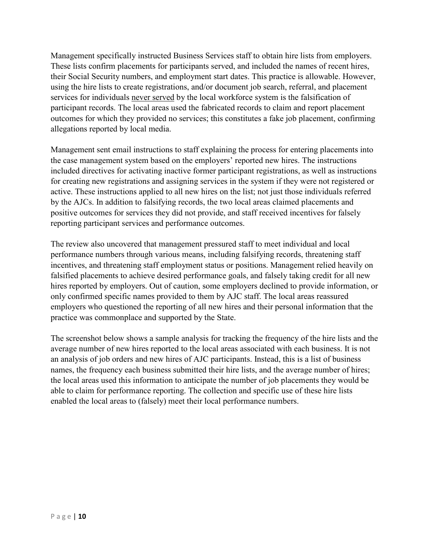Management specifically instructed Business Services staff to obtain hire lists from employers. These lists confirm placements for participants served, and included the names of recent hires, their Social Security numbers, and employment start dates. This practice is allowable. However, using the hire lists to create registrations, and/or document job search, referral, and placement services for individuals never served by the local workforce system is the falsification of participant records. The local areas used the fabricated records to claim and report placement outcomes for which they provided no services; this constitutes a fake job placement, confirming allegations reported by local media.

Management sent email instructions to staff explaining the process for entering placements into the case management system based on the employers' reported new hires. The instructions included directives for activating inactive former participant registrations, as well as instructions for creating new registrations and assigning services in the system if they were not registered or active. These instructions applied to all new hires on the list; not just those individuals referred by the AJCs. In addition to falsifying records, the two local areas claimed placements and positive outcomes for services they did not provide, and staff received incentives for falsely reporting participant services and performance outcomes.

The review also uncovered that management pressured staff to meet individual and local performance numbers through various means, including falsifying records, threatening staff incentives, and threatening staff employment status or positions. Management relied heavily on falsified placements to achieve desired performance goals, and falsely taking credit for all new hires reported by employers. Out of caution, some employers declined to provide information, or only confirmed specific names provided to them by AJC staff. The local areas reassured employers who questioned the reporting of all new hires and their personal information that the practice was commonplace and supported by the State.

The screenshot below shows a sample analysis for tracking the frequency of the hire lists and the average number of new hires reported to the local areas associated with each business. It is not an analysis of job orders and new hires of AJC participants. Instead, this is a list of business names, the frequency each business submitted their hire lists, and the average number of hires; the local areas used this information to anticipate the number of job placements they would be able to claim for performance reporting. The collection and specific use of these hire lists enabled the local areas to (falsely) meet their local performance numbers.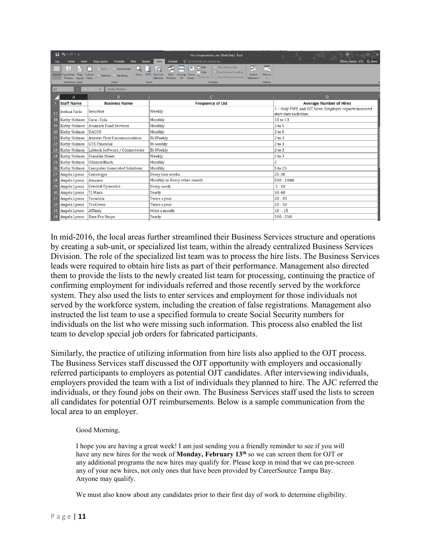|                 | $\mathbf{H}$ by dy $\mathbf{r}$                       |                                                                                 | Hire List spreadsheet .xlsx [Read-Only] - Excel                                                                                                                                                                                                                     | п<br>$\overline{m}$                                                             |
|-----------------|-------------------------------------------------------|---------------------------------------------------------------------------------|---------------------------------------------------------------------------------------------------------------------------------------------------------------------------------------------------------------------------------------------------------------------|---------------------------------------------------------------------------------|
| File            | Home<br>Insert                                        | Formulas<br>Data<br>Page Layout<br>Review                                       | Q Tell me what you want to do<br>View<br>Acrobat                                                                                                                                                                                                                    | Q Share<br>Otieno, Jessica - ETA                                                |
|                 | Normal Page Break Page Custom<br>Preview Layout Views | $\vee$ Formula Bar<br>Ruler<br>100%<br>Zoom<br>$\vee$ Gridlines $\vee$ Headings | <b>CO</b> View Side by Side<br>$\Box$ Split<br>Ŧ<br>阳<br>$\Omega$<br>Ĩ.<br>ਵ<br>쵧<br>[E] Synchronous Scrolling<br>Hide<br>New<br>Zoom to<br>Arrange<br>Freeze<br>Switch<br>Macros<br>Unhide   DD Reset Window Position  <br>Selection<br>Window<br>AII<br>Windows - |                                                                                 |
|                 | Workbook Views                                        | Show                                                                            | Window<br>Zoom<br>Macros                                                                                                                                                                                                                                            |                                                                                 |
| A2              | ÷                                                     | $f_x$<br>Kathy Holmes                                                           |                                                                                                                                                                                                                                                                     |                                                                                 |
|                 | $\overline{A}$                                        | B.                                                                              | C                                                                                                                                                                                                                                                                   | D                                                                               |
|                 | <b>Staff Name</b>                                     | <b>Business Name</b>                                                            | <b>Frequency of List</b>                                                                                                                                                                                                                                            | <b>Average Number of Hires</b>                                                  |
| 17              | Joshua Faria                                          | <b>Securitas</b>                                                                | Weekly                                                                                                                                                                                                                                                              | 1 - Only PWE and OJT hires. Employer reports incorrect<br>start date each time. |
|                 | 18 Kathy Holmes                                       | Coca - Cola                                                                     | Monthly                                                                                                                                                                                                                                                             | 10 to 13                                                                        |
| 19              | <b>Kathy Holmes</b>                                   | <b>Aramark Food Services</b>                                                    | Monthly                                                                                                                                                                                                                                                             | $2$ to $5$                                                                      |
|                 | 20 Kathy Holmes                                       | <b>DACCO</b>                                                                    | Monthly                                                                                                                                                                                                                                                             | $2$ to $5$                                                                      |
| 21              | <b>Kathy Holmes</b>                                   | <b>Answer First Communications</b>                                              | <b>Bi-Weekly</b>                                                                                                                                                                                                                                                    | $2$ to $3$                                                                      |
| 22              | <b>Kathy Holmes</b>                                   | <b>GTE Financial</b>                                                            | Bi-weekly                                                                                                                                                                                                                                                           | $2$ to $3$                                                                      |
| 23              | <b>Kathy Holmes</b>                                   | Labtech Software / Connectwise                                                  | <b>Bi-Weekly</b>                                                                                                                                                                                                                                                    | $2$ to $3$                                                                      |
| 24              | <b>Kathy Holmes</b>                                   | <b>Franklin Street</b>                                                          | Weekly                                                                                                                                                                                                                                                              | $2$ to $3$                                                                      |
| 25              | <b>Kathy Holmes</b>                                   | <b>USAmeriBank</b>                                                              | Monthly                                                                                                                                                                                                                                                             | $\overline{\mathbf{c}}$                                                         |
|                 | 26 Kathy Holmes                                       | <b>Computer Generated Solutions</b>                                             | Monthly                                                                                                                                                                                                                                                             | 5 to 15                                                                         |
| 27              | Angela Lyons                                          | Convergys                                                                       | Every two weeks                                                                                                                                                                                                                                                     | 25-30                                                                           |
|                 | 28 Angela Lyons                                       | Amazon                                                                          | Monthly to Every other month                                                                                                                                                                                                                                        | $500 - 1000$                                                                    |
|                 | 29 Angela Lyons                                       | <b>General Dynamics -</b>                                                       | <b>Every</b> week                                                                                                                                                                                                                                                   | $5 - 10$                                                                        |
| 30 <sub>1</sub> | Angela Lyons                                          | <b>TJ Maxx</b>                                                                  | Yearly                                                                                                                                                                                                                                                              | 30-40                                                                           |
| 31              | Angela Lyons                                          | Terminix                                                                        | Twice a year                                                                                                                                                                                                                                                        | $20 - 30$                                                                       |
| 32              | Angela Lyons                                          | <b>TruGreen</b>                                                                 | Twice a year                                                                                                                                                                                                                                                        | $20 - 30$                                                                       |
| 33              | Angela Lyons                                          | Affinity                                                                        | twice a month                                                                                                                                                                                                                                                       | $10 - 15$                                                                       |
| 34              | Angela Lyons                                          | <b>Bass Pro Shops</b>                                                           | Yearly                                                                                                                                                                                                                                                              | $200 - 250$                                                                     |

In mid-2016, the local areas further streamlined their Business Services structure and operations by creating a sub-unit, or specialized list team, within the already centralized Business Services Division. The role of the specialized list team was to process the hire lists. The Business Services leads were required to obtain hire lists as part of their performance. Management also directed them to provide the lists to the newly created list team for processing, continuing the practice of confirming employment for individuals referred and those recently served by the workforce system. They also used the lists to enter services and employment for those individuals not served by the workforce system, including the creation of false registrations. Management also instructed the list team to use a specified formula to create Social Security numbers for individuals on the list who were missing such information. This process also enabled the list team to develop special job orders for fabricated participants.

Similarly, the practice of utilizing information from hire lists also applied to the OJT process. The Business Services staff discussed the OJT opportunity with employers and occasionally referred participants to employers as potential OJT candidates. After interviewing individuals, employers provided the team with a list of individuals they planned to hire. The AJC referred the individuals, or they found jobs on their own. The Business Services staff used the lists to screen all candidates for potential OJT reimbursements. Below is a sample communication from the local area to an employer.

#### Good Morning,

I hope you are having a great week! I am just sending you a friendly reminder to see if you will have any new hires for the week of **Monday, February 13th** so we can screen them for OJT or any additional programs the new hires may qualify for. Please keep in mind that we can pre-screen any of your new hires, not only ones that have been provided by CareerSource Tampa Bay. Anyone may qualify.

We must also know about any candidates prior to their first day of work to determine eligibility.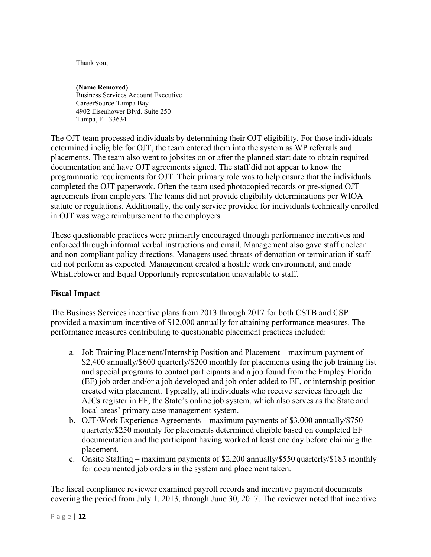Thank you,

**(Name Removed)** Business Services Account Executive CareerSource Tampa Bay 4902 Eisenhower Blvd. Suite 250 Tampa, FL 33634

The OJT team processed individuals by determining their OJT eligibility. For those individuals determined ineligible for OJT, the team entered them into the system as WP referrals and placements. The team also went to jobsites on or after the planned start date to obtain required documentation and have OJT agreements signed. The staff did not appear to know the programmatic requirements for OJT. Their primary role was to help ensure that the individuals completed the OJT paperwork. Often the team used photocopied records or pre-signed OJT agreements from employers. The teams did not provide eligibility determinations per WIOA statute or regulations. Additionally, the only service provided for individuals technically enrolled in OJT was wage reimbursement to the employers.

These questionable practices were primarily encouraged through performance incentives and enforced through informal verbal instructions and email. Management also gave staff unclear and non-compliant policy directions. Managers used threats of demotion or termination if staff did not perform as expected. Management created a hostile work environment, and made Whistleblower and Equal Opportunity representation unavailable to staff.

#### **Fiscal Impact**

The Business Services incentive plans from 2013 through 2017 for both CSTB and CSP provided a maximum incentive of \$12,000 annually for attaining performance measures. The performance measures contributing to questionable placement practices included:

- a. Job Training Placement/Internship Position and Placement maximum payment of \$2,400 annually/\$600 quarterly/\$200 monthly for placements using the job training list and special programs to contact participants and a job found from the Employ Florida (EF) job order and/or a job developed and job order added to EF, or internship position created with placement. Typically, all individuals who receive services through the AJCs register in EF, the State's online job system, which also serves as the State and local areas' primary case management system.
- b. OJT/Work Experience Agreements maximum payments of \$3,000 annually/\$750 quarterly/\$250 monthly for placements determined eligible based on completed EF documentation and the participant having worked at least one day before claiming the placement.
- c. Onsite Staffing maximum payments of \$2,200 annually/\$550 quarterly/\$183 monthly for documented job orders in the system and placement taken.

The fiscal compliance reviewer examined payroll records and incentive payment documents covering the period from July 1, 2013, through June 30, 2017. The reviewer noted that incentive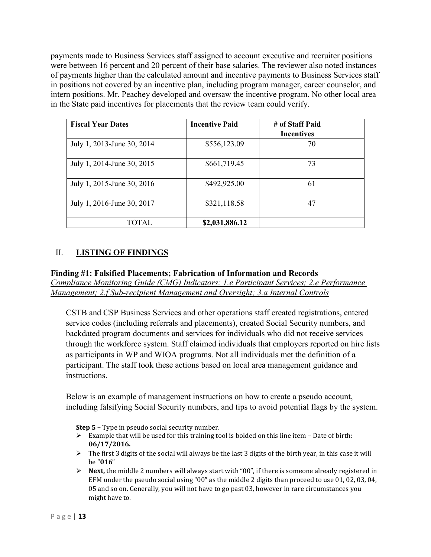payments made to Business Services staff assigned to account executive and recruiter positions were between 16 percent and 20 percent of their base salaries. The reviewer also noted instances of payments higher than the calculated amount and incentive payments to Business Services staff in positions not covered by an incentive plan, including program manager, career counselor, and intern positions. Mr. Peachey developed and oversaw the incentive program. No other local area in the State paid incentives for placements that the review team could verify.

| <b>Fiscal Year Dates</b>   | <b>Incentive Paid</b> | # of Staff Paid<br><b>Incentives</b> |
|----------------------------|-----------------------|--------------------------------------|
| July 1, 2013-June 30, 2014 | \$556,123.09          | 70                                   |
| July 1, 2014-June 30, 2015 | \$661,719.45          | 73                                   |
| July 1, 2015-June 30, 2016 | \$492,925.00          | 61                                   |
| July 1, 2016-June 30, 2017 | \$321,118.58          | 47                                   |
| <b>TOTAL</b>               | \$2,031,886.12        |                                      |

## <span id="page-14-0"></span>II. **LISTING OF FINDINGS**

#### <span id="page-14-1"></span>**Finding #1: Falsified Placements; Fabrication of Information and Records**

*Compliance Monitoring Guide (CMG) Indicators: 1.e Participant Services; 2.e Performance Management; 2.f Sub-recipient Management and Oversight; 3.a Internal Controls*

CSTB and CSP Business Services and other operations staff created registrations, entered service codes (including referrals and placements), created Social Security numbers, and backdated program documents and services for individuals who did not receive services through the workforce system. Staff claimed individuals that employers reported on hire lists as participants in WP and WIOA programs. Not all individuals met the definition of a participant. The staff took these actions based on local area management guidance and instructions.

Below is an example of management instructions on how to create a pseudo account, including falsifying Social Security numbers, and tips to avoid potential flags by the system.

**Step 5 –** Type in pseudo social security number.

- $\triangleright$  Example that will be used for this training tool is bolded on this line item Date of birth: **06/17/2016.**
- $\triangleright$  The first 3 digits of the social will always be the last 3 digits of the birth year, in this case it will be "**016**"
- $\triangleright$  **Next,** the middle 2 numbers will always start with "00", if there is someone already registered in EFM under the pseudo social using "00" as the middle 2 digits than proceed to use 01, 02, 03, 04, 05 and so on. Generally, you will not have to go past 03, however in rare circumstances you might have to.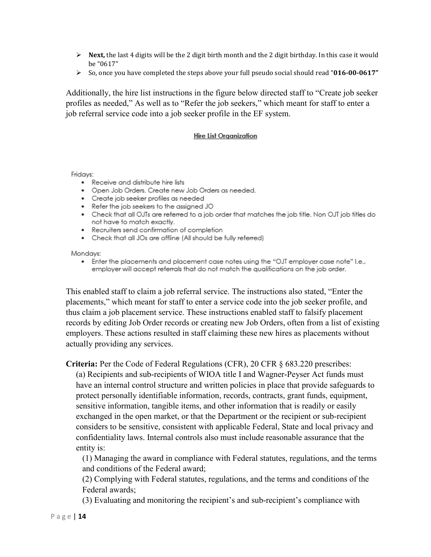- **Next,** the last 4 digits will be the 2 digit birth month and the 2 digit birthday. In this case it would be "0617"
- So, once you have completed the steps above your full pseudo social should read "**016-00-0617"**

Additionally, the hire list instructions in the figure below directed staff to "Create job seeker profiles as needed," As well as to "Refer the job seekers," which meant for staff to enter a job referral service code into a job seeker profile in the EF system.

#### **Hire List Organization**

Fridays:

- Receive and distribute hire lists
- . Open Job Orders. Create new Job Orders as needed.
- Create job seeker profiles as needed
- Refer the job seekers to the assigned JO
- Check that all OJTs are referred to a job order that matches the job title. Non OJT job titles do not have to match exactly.
- Recruiters send confirmation of completion
- Check that all JOs are offline (All should be fully referred)

Mondays:

• Enter the placements and placement case notes using the "OJT employer case note" I.e., employer will accept referrals that do not match the qualifications on the job order.

This enabled staff to claim a job referral service. The instructions also stated, "Enter the placements," which meant for staff to enter a service code into the job seeker profile, and thus claim a job placement service. These instructions enabled staff to falsify placement records by editing Job Order records or creating new Job Orders, often from a list of existing employers. These actions resulted in staff claiming these new hires as placements without actually providing any services.

**Criteria:** Per the Code of Federal Regulations (CFR), 20 CFR § 683.220 prescribes:

(a) Recipients and sub-recipients of WIOA title I and Wagner-Peyser Act funds must have an internal control structure and written policies in place that provide safeguards to protect personally identifiable information, records, contracts, grant funds, equipment, sensitive information, tangible items, and other information that is readily or easily exchanged in the open market, or that the Department or the recipient or sub-recipient considers to be sensitive, consistent with applicable Federal, State and local privacy and confidentiality laws. Internal controls also must include reasonable assurance that the entity is:

(1) Managing the award in compliance with Federal statutes, regulations, and the terms and conditions of the Federal award;

(2) Complying with Federal statutes, regulations, and the terms and conditions of the Federal awards;

(3) Evaluating and monitoring the recipient's and sub-recipient's compliance with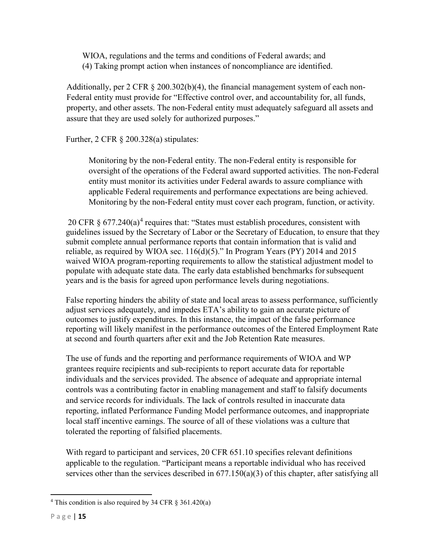WIOA, regulations and the terms and conditions of Federal awards; and (4) Taking prompt action when instances of noncompliance are identified.

Additionally, per 2 CFR § 200.302(b)(4), the financial management system of each non-Federal entity must provide for "Effective control over, and accountability for, all funds, property, and other assets. The non-Federal entity must adequately safeguard all assets and assure that they are used solely for authorized purposes."

Further, 2 CFR § 200.328(a) stipulates:

Monitoring by the non-Federal entity. The non-Federal entity is responsible for oversight of the operations of the Federal award supported activities. The non-Federal entity must monitor its activities under Federal awards to assure compliance with applicable Federal requirements and performance expectations are being achieved. Monitoring by the non-Federal entity must cover each program, function, or activity.

20 CFR  $\S$  677.2[4](#page-16-0)0(a)<sup>4</sup> requires that: "States must establish procedures, consistent with guidelines issued by the Secretary of Labor or the Secretary of Education, to ensure that they submit complete annual performance reports that contain information that is valid and reliable, as required by WIOA sec. 116(d)(5)." In Program Years (PY) 2014 and 2015 waived WIOA program-reporting requirements to allow the statistical adjustment model to populate with adequate state data. The early data established benchmarks for subsequent years and is the basis for agreed upon performance levels during negotiations.

False reporting hinders the ability of state and local areas to assess performance, sufficiently adjust services adequately, and impedes ETA's ability to gain an accurate picture of outcomes to justify expenditures. In this instance, the impact of the false performance reporting will likely manifest in the performance outcomes of the Entered Employment Rate at second and fourth quarters after exit and the Job Retention Rate measures.

The use of funds and the reporting and performance requirements of WIOA and WP grantees require recipients and sub-recipients to report accurate data for reportable individuals and the services provided. The absence of adequate and appropriate internal controls was a contributing factor in enabling management and staff to falsify documents and service records for individuals. The lack of controls resulted in inaccurate data reporting, inflated Performance Funding Model performance outcomes, and inappropriate local staff incentive earnings. The source of all of these violations was a culture that tolerated the reporting of falsified placements.

With regard to participant and services, 20 CFR 651.10 specifies relevant definitions applicable to the regulation. "Participant means a reportable individual who has received services other than the services described in  $677.150(a)(3)$  of this chapter, after satisfying all

<span id="page-16-0"></span><sup>&</sup>lt;sup>4</sup> This condition is also required by 34 CFR  $\S$  361.420(a)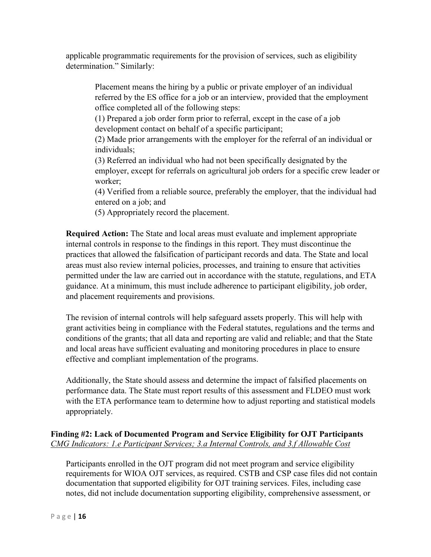applicable programmatic requirements for the provision of services, such as eligibility determination." Similarly:

Placement means the hiring by a public or private employer of an individual referred by the ES office for a job or an interview, provided that the employment office completed all of the following steps:

(1) Prepared a job order form prior to referral, except in the case of a job development contact on behalf of a specific participant;

(2) Made prior arrangements with the employer for the referral of an individual or individuals;

(3) Referred an individual who had not been specifically designated by the employer, except for referrals on agricultural job orders for a specific crew leader or worker;

(4) Verified from a reliable source, preferably the employer, that the individual had entered on a job; and

(5) Appropriately record the placement.

**Required Action:** The State and local areas must evaluate and implement appropriate internal controls in response to the findings in this report. They must discontinue the practices that allowed the falsification of participant records and data. The State and local areas must also review internal policies, processes, and training to ensure that activities permitted under the law are carried out in accordance with the statute, regulations, and ETA guidance. At a minimum, this must include adherence to participant eligibility, job order, and placement requirements and provisions.

The revision of internal controls will help safeguard assets properly. This will help with grant activities being in compliance with the Federal statutes, regulations and the terms and conditions of the grants; that all data and reporting are valid and reliable; and that the State and local areas have sufficient evaluating and monitoring procedures in place to ensure effective and compliant implementation of the programs.

Additionally, the State should assess and determine the impact of falsified placements on performance data. The State must report results of this assessment and FLDEO must work with the ETA performance team to determine how to adjust reporting and statistical models appropriately.

## <span id="page-17-0"></span>**Finding #2: Lack of Documented Program and Service Eligibility for OJT Participants** *CMG Indicators: 1.e Participant Services; 3.a Internal Controls, and 3.f Allowable Cost*

Participants enrolled in the OJT program did not meet program and service eligibility requirements for WIOA OJT services, as required. CSTB and CSP case files did not contain documentation that supported eligibility for OJT training services. Files, including case notes, did not include documentation supporting eligibility, comprehensive assessment, or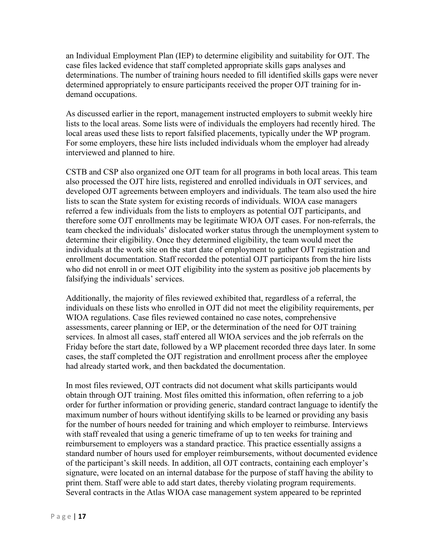an Individual Employment Plan (IEP) to determine eligibility and suitability for OJT. The case files lacked evidence that staff completed appropriate skills gaps analyses and determinations. The number of training hours needed to fill identified skills gaps were never determined appropriately to ensure participants received the proper OJT training for indemand occupations.

As discussed earlier in the report, management instructed employers to submit weekly hire lists to the local areas. Some lists were of individuals the employers had recently hired. The local areas used these lists to report falsified placements, typically under the WP program. For some employers, these hire lists included individuals whom the employer had already interviewed and planned to hire.

CSTB and CSP also organized one OJT team for all programs in both local areas. This team also processed the OJT hire lists, registered and enrolled individuals in OJT services, and developed OJT agreements between employers and individuals. The team also used the hire lists to scan the State system for existing records of individuals. WIOA case managers referred a few individuals from the lists to employers as potential OJT participants, and therefore some OJT enrollments may be legitimate WIOA OJT cases. For non-referrals, the team checked the individuals' dislocated worker status through the unemployment system to determine their eligibility. Once they determined eligibility, the team would meet the individuals at the work site on the start date of employment to gather OJT registration and enrollment documentation. Staff recorded the potential OJT participants from the hire lists who did not enroll in or meet OJT eligibility into the system as positive job placements by falsifying the individuals' services.

Additionally, the majority of files reviewed exhibited that, regardless of a referral, the individuals on these lists who enrolled in OJT did not meet the eligibility requirements, per WIOA regulations. Case files reviewed contained no case notes, comprehensive assessments, career planning or IEP, or the determination of the need for OJT training services. In almost all cases, staff entered all WIOA services and the job referrals on the Friday before the start date, followed by a WP placement recorded three days later. In some cases, the staff completed the OJT registration and enrollment process after the employee had already started work, and then backdated the documentation.

In most files reviewed, OJT contracts did not document what skills participants would obtain through OJT training. Most files omitted this information, often referring to a job order for further information or providing generic, standard contract language to identify the maximum number of hours without identifying skills to be learned or providing any basis for the number of hours needed for training and which employer to reimburse. Interviews with staff revealed that using a generic timeframe of up to ten weeks for training and reimbursement to employers was a standard practice. This practice essentially assigns a standard number of hours used for employer reimbursements, without documented evidence of the participant's skill needs. In addition, all OJT contracts, containing each employer's signature, were located on an internal database for the purpose of staff having the ability to print them. Staff were able to add start dates, thereby violating program requirements. Several contracts in the Atlas WIOA case management system appeared to be reprinted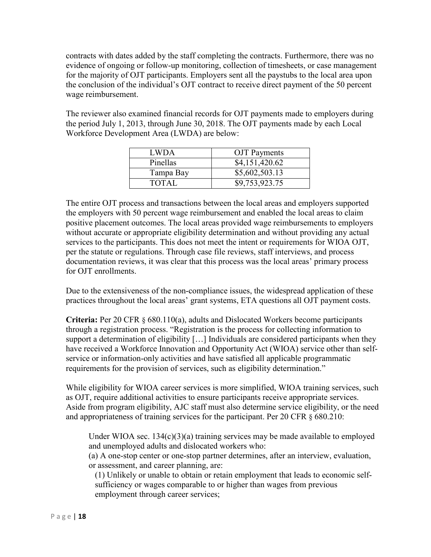contracts with dates added by the staff completing the contracts. Furthermore, there was no evidence of ongoing or follow-up monitoring, collection of timesheets, or case management for the majority of OJT participants. Employers sent all the paystubs to the local area upon the conclusion of the individual's OJT contract to receive direct payment of the 50 percent wage reimbursement.

The reviewer also examined financial records for OJT payments made to employers during the period July 1, 2013, through June 30, 2018. The OJT payments made by each Local Workforce Development Area (LWDA) are below:

| LWDA      | <b>OJT</b> Payments |
|-----------|---------------------|
| Pinellas  | \$4,151,420.62      |
| Tampa Bay | \$5,602,503.13      |
| TOTAL     | \$9,753,923.75      |

The entire OJT process and transactions between the local areas and employers supported the employers with 50 percent wage reimbursement and enabled the local areas to claim positive placement outcomes. The local areas provided wage reimbursements to employers without accurate or appropriate eligibility determination and without providing any actual services to the participants. This does not meet the intent or requirements for WIOA OJT, per the statute or regulations. Through case file reviews, staff interviews, and process documentation reviews, it was clear that this process was the local areas' primary process for OJT enrollments.

Due to the extensiveness of the non-compliance issues, the widespread application of these practices throughout the local areas' grant systems, ETA questions all OJT payment costs.

**Criteria:** Per 20 CFR § 680.110(a), adults and Dislocated Workers become participants through a registration process. "Registration is the process for collecting information to support a determination of eligibility […] Individuals are considered participants when they have received a Workforce Innovation and Opportunity Act (WIOA) service other than selfservice or information-only activities and have satisfied all applicable programmatic requirements for the provision of services, such as eligibility determination."

While eligibility for WIOA career services is more simplified, WIOA training services, such as OJT, require additional activities to ensure participants receive appropriate services. Aside from program eligibility, AJC staff must also determine service eligibility, or the need and appropriateness of training services for the participant. Per 20 CFR § 680.210:

Under WIOA sec.  $134(c)(3)(a)$  training services may be made available to employed and unemployed adults and dislocated workers who:

(a) A one-stop center or one-stop partner determines, after an interview, evaluation, or assessment, and career planning, are:

(1) Unlikely or unable to obtain or retain employment that leads to economic selfsufficiency or wages comparable to or higher than wages from previous employment through career services;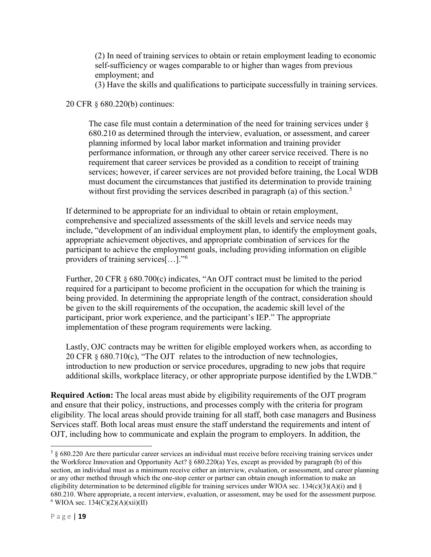(2) In need of training services to obtain or retain employment leading to economic self-sufficiency or wages comparable to or higher than wages from previous employment; and

(3) Have the skills and qualifications to participate successfully in training services.

#### 20 CFR § 680.220(b) continues:

The case file must contain a determination of the need for training services under § 680.210 as determined through the interview, evaluation, or assessment, and career planning informed by local labor market information and training provider performance information, or through any other career service received. There is no requirement that career services be provided as a condition to receipt of training services; however, if career services are not provided before training, the Local WDB must document the circumstances that justified its determination to provide training without first providing the services described in paragraph (a) of this section.<sup>[5](#page-20-0)</sup>

If determined to be appropriate for an individual to obtain or retain employment, comprehensive and specialized assessments of the skill levels and service needs may include, "development of an individual employment plan, to identify the employment goals, appropriate achievement objectives, and appropriate combination of services for the participant to achieve the employment goals, including providing information on eligible providers of training services[…]."[6](#page-20-1)

Further, 20 CFR § 680.700(c) indicates, "An OJT contract must be limited to the period required for a participant to become proficient in the occupation for which the training is being provided. In determining the appropriate length of the contract, consideration should be given to the skill requirements of the occupation, the academic skill level of the participant, prior work experience, and the participant's IEP." The appropriate implementation of these program requirements were lacking.

Lastly, OJC contracts may be written for eligible employed workers when, as according to 20 CFR § 680.710(c), "The OJT relates to the introduction of new technologies, introduction to new production or service procedures, upgrading to new jobs that require additional skills, workplace literacy, or other appropriate purpose identified by the LWDB."

**Required Action:** The local areas must abide by eligibility requirements of the OJT program and ensure that their policy, instructions, and processes comply with the criteria for program eligibility. The local areas should provide training for all staff, both case managers and Business Services staff. Both local areas must ensure the staff understand the requirements and intent of OJT, including how to communicate and explain the program to employers. In addition, the

<span id="page-20-1"></span><span id="page-20-0"></span> $5 \times 680.220$  Are there particular career services an individual must receive before receiving training services under the Workforce Innovation and Opportunity Act? § 680.220(a) Yes, except as provided by paragraph (b) of this section, an individual must as a minimum receive either an interview, evaluation, or assessment, and career planning or any other method through which the one-stop center or partner can obtain enough information to make an eligibility determination to be determined eligible for training services under WIOA sec.  $134(c)(3)(A)(i)$  and § 680.210. Where appropriate, a recent interview, evaluation, or assessment, may be used for the assessment purpose.  $6$  WIOA sec. 134(C)(2)(A)(xii)(II)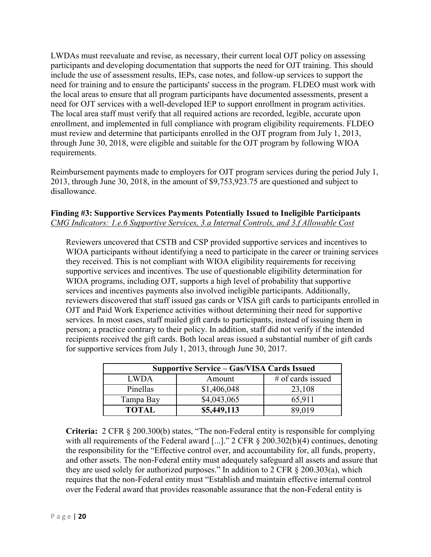LWDAs must reevaluate and revise, as necessary, their current local OJT policy on assessing participants and developing documentation that supports the need for OJT training. This should include the use of assessment results, IEPs, case notes, and follow-up services to support the need for training and to ensure the participants' success in the program. FLDEO must work with the local areas to ensure that all program participants have documented assessments, present a need for OJT services with a well-developed IEP to support enrollment in program activities. The local area staff must verify that all required actions are recorded, legible, accurate upon enrollment, and implemented in full compliance with program eligibility requirements. FLDEO must review and determine that participants enrolled in the OJT program from July 1, 2013, through June 30, 2018, were eligible and suitable for the OJT program by following WIOA requirements.

Reimbursement payments made to employers for OJT program services during the period July 1, 2013, through June 30, 2018, in the amount of \$9,753,923.75 are questioned and subject to disallowance.

#### <span id="page-21-0"></span>**Finding #3: Supportive Services Payments Potentially Issued to Ineligible Participants** *CMG Indicators: 1.e.6 Supportive Services, 3.a Internal Controls, and 3.f Allowable Cost*

Reviewers uncovered that CSTB and CSP provided supportive services and incentives to WIOA participants without identifying a need to participate in the career or training services they received. This is not compliant with WIOA eligibility requirements for receiving supportive services and incentives. The use of questionable eligibility determination for WIOA programs, including OJT, supports a high level of probability that supportive services and incentives payments also involved ineligible participants. Additionally, reviewers discovered that staff issued gas cards or VISA gift cards to participants enrolled in OJT and Paid Work Experience activities without determining their need for supportive services. In most cases, staff mailed gift cards to participants, instead of issuing them in person; a practice contrary to their policy. In addition, staff did not verify if the intended recipients received the gift cards. Both local areas issued a substantial number of gift cards for supportive services from July 1, 2013, through June 30, 2017.

| <b>Supportive Service – Gas/VISA Cards Issued</b> |             |                   |  |  |
|---------------------------------------------------|-------------|-------------------|--|--|
| <b>LWDA</b><br>Amount                             |             | # of cards issued |  |  |
| Pinellas                                          | \$1,406,048 | 23,108            |  |  |
| Tampa Bay                                         | \$4,043,065 | 65,911            |  |  |
| <b>TOTAL</b>                                      | \$5,449,113 | 89,019            |  |  |

**Criteria:** 2 CFR § 200.300(b) states, "The non-Federal entity is responsible for complying with all requirements of the Federal award [...]." 2 CFR § 200.302(b)(4) continues, denoting the responsibility for the "Effective control over, and accountability for, all funds, property, and other assets. The non-Federal entity must adequately safeguard all assets and assure that they are used solely for authorized purposes." In addition to 2 CFR § 200.303(a), which requires that the non-Federal entity must "Establish and maintain effective internal control over the Federal award that provides reasonable assurance that the non-Federal entity is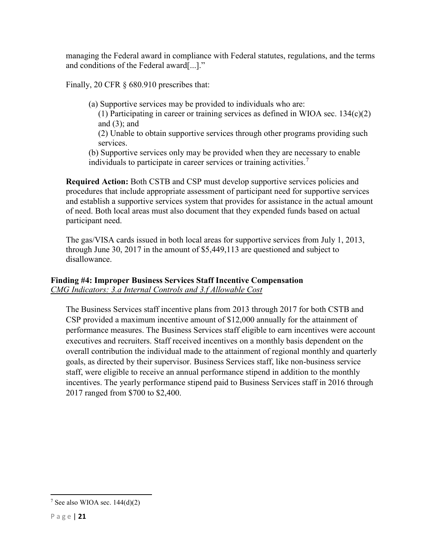managing the Federal award in compliance with Federal statutes, regulations, and the terms and conditions of the Federal award[...]."

Finally, 20 CFR § 680.910 prescribes that:

(a) Supportive services may be provided to individuals who are:

(1) Participating in career or training services as defined in WIOA sec.  $134(c)(2)$ and  $(3)$ ; and

(2) Unable to obtain supportive services through other programs providing such services.

(b) Supportive services only may be provided when they are necessary to enable individuals to participate in career services or training activities.<sup>[7](#page-22-1)</sup>

**Required Action:** Both CSTB and CSP must develop supportive services policies and procedures that include appropriate assessment of participant need for supportive services and establish a supportive services system that provides for assistance in the actual amount of need. Both local areas must also document that they expended funds based on actual participant need.

The gas/VISA cards issued in both local areas for supportive services from July 1, 2013, through June 30, 2017 in the amount of \$5,449,113 are questioned and subject to disallowance.

## <span id="page-22-0"></span>**Finding #4: Improper Business Services Staff Incentive Compensation** *CMG Indicators: 3.a Internal Controls and 3.f Allowable Cost*

The Business Services staff incentive plans from 2013 through 2017 for both CSTB and CSP provided a maximum incentive amount of \$12,000 annually for the attainment of performance measures. The Business Services staff eligible to earn incentives were account executives and recruiters. Staff received incentives on a monthly basis dependent on the overall contribution the individual made to the attainment of regional monthly and quarterly goals, as directed by their supervisor. Business Services staff, like non-business service staff, were eligible to receive an annual performance stipend in addition to the monthly incentives. The yearly performance stipend paid to Business Services staff in 2016 through 2017 ranged from \$700 to \$2,400.

<span id="page-22-1"></span> $\frac{7}{2}$  See also WIOA sec. 144(d)(2)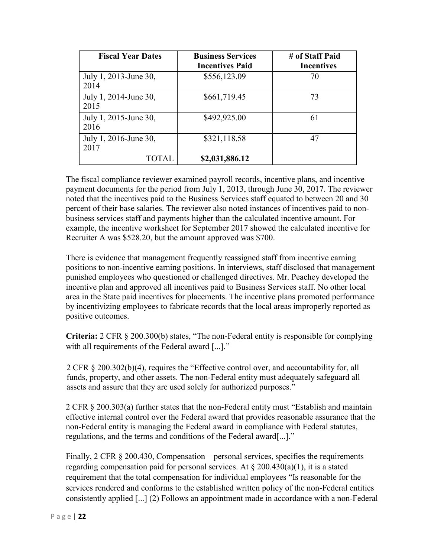| <b>Fiscal Year Dates</b>      | <b>Business Services</b><br><b>Incentives Paid</b> | # of Staff Paid<br><b>Incentives</b> |
|-------------------------------|----------------------------------------------------|--------------------------------------|
| July 1, 2013-June 30,<br>2014 | \$556,123.09                                       | 70                                   |
| July 1, 2014-June 30,<br>2015 | \$661,719.45                                       | 73                                   |
| July 1, 2015-June 30,<br>2016 | \$492,925.00                                       | 61                                   |
| July 1, 2016-June 30,<br>2017 | \$321,118.58                                       | 47                                   |
| TOTAL                         | \$2,031,886.12                                     |                                      |

The fiscal compliance reviewer examined payroll records, incentive plans, and incentive payment documents for the period from July 1, 2013, through June 30, 2017. The reviewer noted that the incentives paid to the Business Services staff equated to between 20 and 30 percent of their base salaries. The reviewer also noted instances of incentives paid to nonbusiness services staff and payments higher than the calculated incentive amount. For example, the incentive worksheet for September 2017 showed the calculated incentive for Recruiter A was \$528.20, but the amount approved was \$700.

There is evidence that management frequently reassigned staff from incentive earning positions to non-incentive earning positions. In interviews, staff disclosed that management punished employees who questioned or challenged directives. Mr. Peachey developed the incentive plan and approved all incentives paid to Business Services staff. No other local area in the State paid incentives for placements. The incentive plans promoted performance by incentivizing employees to fabricate records that the local areas improperly reported as positive outcomes.

**Criteria:** 2 CFR § 200.300(b) states, "The non-Federal entity is responsible for complying with all requirements of the Federal award [...]."

2 CFR § 200.302(b)(4), requires the "Effective control over, and accountability for, all funds, property, and other assets. The non-Federal entity must adequately safeguard all assets and assure that they are used solely for authorized purposes."

2 CFR § 200.303(a) further states that the non-Federal entity must "Establish and maintain effective internal control over the Federal award that provides reasonable assurance that the non-Federal entity is managing the Federal award in compliance with Federal statutes, regulations, and the terms and conditions of the Federal award[...]."

Finally, 2 CFR § 200.430, Compensation – personal services, specifies the requirements regarding compensation paid for personal services. At  $\S 200.430(a)(1)$ , it is a stated requirement that the total compensation for individual employees "Is reasonable for the services rendered and conforms to the established written policy of the non-Federal entities consistently applied [...] (2) Follows an appointment made in accordance with a non-Federal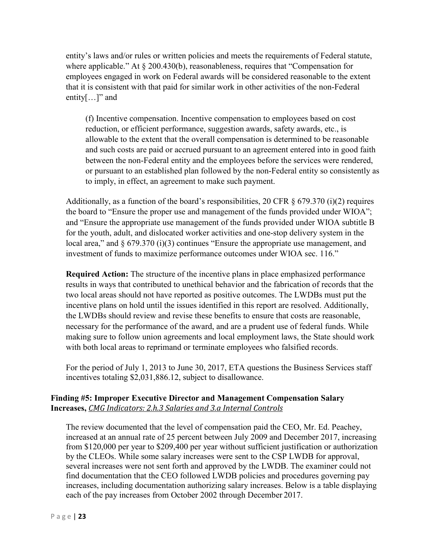entity's laws and/or rules or written policies and meets the requirements of Federal statute, where applicable." At § 200.430(b), reasonableness, requires that "Compensation for employees engaged in work on Federal awards will be considered reasonable to the extent that it is consistent with that paid for similar work in other activities of the non-Federal entity $[...]$ " and

(f) Incentive compensation. Incentive compensation to employees based on cost reduction, or efficient performance, suggestion awards, safety awards, etc., is allowable to the extent that the overall compensation is determined to be reasonable and such costs are paid or accrued pursuant to an agreement entered into in good faith between the non-Federal entity and the employees before the services were rendered, or pursuant to an established plan followed by the non-Federal entity so consistently as to imply, in effect, an agreement to make such payment.

Additionally, as a function of the board's responsibilities, 20 CFR  $\S$  679.370 (i)(2) requires the board to "Ensure the proper use and management of the funds provided under WIOA"; and "Ensure the appropriate use management of the funds provided under WIOA subtitle B for the youth, adult, and dislocated worker activities and one-stop delivery system in the local area," and § 679.370 (i)(3) continues "Ensure the appropriate use management, and investment of funds to maximize performance outcomes under WIOA sec. 116."

**Required Action:** The structure of the incentive plans in place emphasized performance results in ways that contributed to unethical behavior and the fabrication of records that the two local areas should not have reported as positive outcomes. The LWDBs must put the incentive plans on hold until the issues identified in this report are resolved. Additionally, the LWDBs should review and revise these benefits to ensure that costs are reasonable, necessary for the performance of the award, and are a prudent use of federal funds. While making sure to follow union agreements and local employment laws, the State should work with both local areas to reprimand or terminate employees who falsified records.

<span id="page-24-0"></span>For the period of July 1, 2013 to June 30, 2017, ETA questions the Business Services staff incentives totaling \$2,031,886.12, subject to disallowance.

## <span id="page-24-1"></span>**Finding #5: Improper Executive Director and Management Compensation Salary Increases,** *CMG Indicators: 2.h.3 Salaries and 3.a Internal Controls*

The review documented that the level of compensation paid the CEO, Mr. Ed. Peachey, increased at an annual rate of 25 percent between July 2009 and December 2017, increasing from \$120,000 per year to \$209,400 per year without sufficient justification or authorization by the CLEOs. While some salary increases were sent to the CSP LWDB for approval, several increases were not sent forth and approved by the LWDB. The examiner could not find documentation that the CEO followed LWDB policies and procedures governing pay increases, including documentation authorizing salary increases. Below is a table displaying each of the pay increases from October 2002 through December 2017.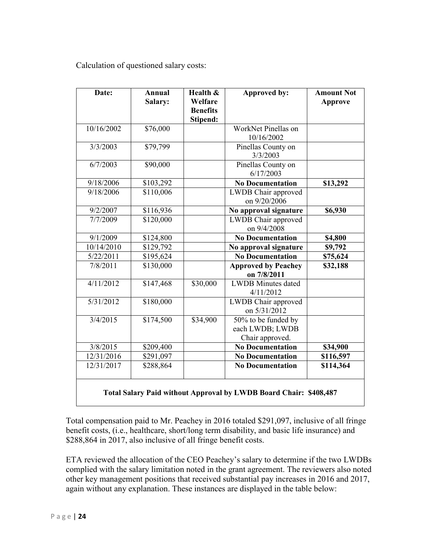Calculation of questioned salary costs:

| Date:      | <b>Annual</b><br>Salary: | Health &<br>Welfare<br><b>Benefits</b><br><b>Stipend:</b> | Approved by:                                              | <b>Amount Not</b><br>Approve |
|------------|--------------------------|-----------------------------------------------------------|-----------------------------------------------------------|------------------------------|
| 10/16/2002 | \$76,000                 |                                                           | WorkNet Pinellas on<br>10/16/2002                         |                              |
| 3/3/2003   | \$79,799                 |                                                           | Pinellas County on<br>3/3/2003                            |                              |
| 6/7/2003   | \$90,000                 |                                                           | Pinellas County on<br>6/17/2003                           |                              |
| 9/18/2006  | \$103,292                |                                                           | <b>No Documentation</b>                                   | \$13,292                     |
| 9/18/2006  | \$110,006                |                                                           | LWDB Chair approved<br>on 9/20/2006                       |                              |
| 9/2/2007   | \$116,936                |                                                           | No approval signature                                     | \$6,930                      |
| 7/7/2009   | \$120,000                |                                                           | LWDB Chair approved<br>on 9/4/2008                        |                              |
| 9/1/2009   | \$124,800                |                                                           | <b>No Documentation</b>                                   | \$4,800                      |
| 10/14/2010 | \$129,792                |                                                           | No approval signature                                     | \$9,792                      |
| 5/22/2011  | \$195,624                |                                                           | <b>No Documentation</b>                                   | \$75,624                     |
| 7/8/2011   | \$130,000                |                                                           | <b>Approved by Peachey</b><br>on 7/8/2011                 | \$32,188                     |
| 4/11/2012  | \$147,468                | \$30,000                                                  | <b>LWDB</b> Minutes dated<br>4/11/2012                    |                              |
| 5/31/2012  | \$180,000                |                                                           | LWDB Chair approved<br>on 5/31/2012                       |                              |
| 3/4/2015   | \$174,500                | \$34,900                                                  | 50% to be funded by<br>each LWDB; LWDB<br>Chair approved. |                              |
| 3/8/2015   | \$209,400                |                                                           | <b>No Documentation</b>                                   | \$34,900                     |
| 12/31/2016 | \$291,097                |                                                           | <b>No Documentation</b>                                   | \$116,597                    |
| 12/31/2017 | \$288,864                |                                                           | <b>No Documentation</b>                                   | \$114,364                    |

Total compensation paid to Mr. Peachey in 2016 totaled \$291,097, inclusive of all fringe benefit costs, (i.e., healthcare, short/long term disability, and basic life insurance) and \$288,864 in 2017, also inclusive of all fringe benefit costs.

ETA reviewed the allocation of the CEO Peachey's salary to determine if the two LWDBs complied with the salary limitation noted in the grant agreement. The reviewers also noted other key management positions that received substantial pay increases in 2016 and 2017, again without any explanation. These instances are displayed in the table below: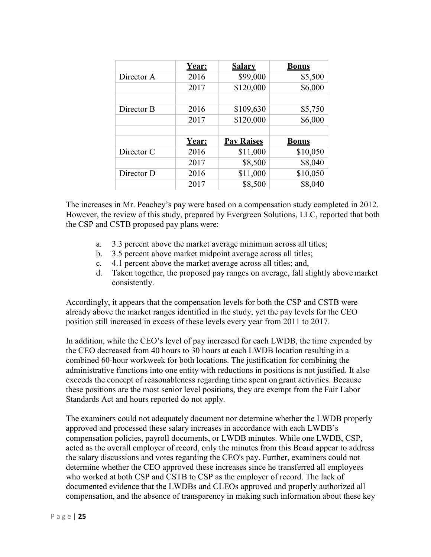|            | Year: | <b>Salary</b>     | <b>Bonus</b> |
|------------|-------|-------------------|--------------|
| Director A | 2016  | \$99,000          | \$5,500      |
|            | 2017  | \$120,000         | \$6,000      |
|            |       |                   |              |
| Director B | 2016  | \$109,630         | \$5,750      |
|            | 2017  | \$120,000         | \$6,000      |
|            |       |                   |              |
|            | Year: | <b>Pay Raises</b> | <b>Bonus</b> |
| Director C | 2016  | \$11,000          | \$10,050     |
|            | 2017  | \$8,500           | \$8,040      |
| Director D | 2016  | \$11,000          | \$10,050     |
|            | 2017  | \$8,500           | \$8,040      |

The increases in Mr. Peachey's pay were based on a compensation study completed in 2012. However, the review of this study, prepared by Evergreen Solutions, LLC, reported that both the CSP and CSTB proposed pay plans were:

- a. 3.3 percent above the market average minimum across all titles;
- b. 3.5 percent above market midpoint average across all titles;
- c. 4.1 percent above the market average across all titles; and,
- d. Taken together, the proposed pay ranges on average, fall slightly above market consistently.

Accordingly, it appears that the compensation levels for both the CSP and CSTB were already above the market ranges identified in the study, yet the pay levels for the CEO position still increased in excess of these levels every year from 2011 to 2017.

In addition, while the CEO's level of pay increased for each LWDB, the time expended by the CEO decreased from 40 hours to 30 hours at each LWDB location resulting in a combined 60-hour workweek for both locations. The justification for combining the administrative functions into one entity with reductions in positions is not justified. It also exceeds the concept of reasonableness regarding time spent on grant activities. Because these positions are the most senior level positions, they are exempt from the Fair Labor Standards Act and hours reported do not apply.

The examiners could not adequately document nor determine whether the LWDB properly approved and processed these salary increases in accordance with each LWDB's compensation policies, payroll documents, or LWDB minutes. While one LWDB, CSP, acted as the overall employer of record, only the minutes from this Board appear to address the salary discussions and votes regarding the CEO's pay. Further, examiners could not determine whether the CEO approved these increases since he transferred all employees who worked at both CSP and CSTB to CSP as the employer of record. The lack of documented evidence that the LWDBs and CLEOs approved and properly authorized all compensation, and the absence of transparency in making such information about these key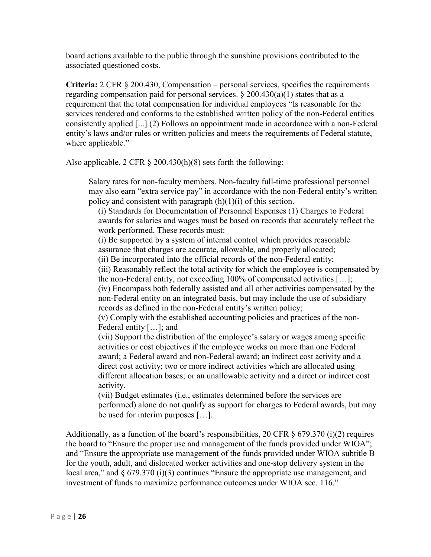board actions available to the public through the sunshine provisions contributed to the associated questioned costs.

**Criteria:** 2 CFR § 200.430, Compensation – personal services, specifies the requirements regarding compensation paid for personal services.  $\S 200.430(a)(1)$  states that as a requirement that the total compensation for individual employees "Is reasonable for the services rendered and conforms to the established written policy of the non-Federal entities consistently applied [...] (2) Follows an appointment made in accordance with a non-Federal entity's laws and/or rules or written policies and meets the requirements of Federal statute, where applicable."

Also applicable, 2 CFR § 200.430(h)(8) sets forth the following:

Salary rates for non-faculty members. Non-faculty full-time professional personnel may also earn "extra service pay" in accordance with the non-Federal entity's written policy and consistent with paragraph  $(h)(1)(i)$  of this section.

(i) Standards for Documentation of Personnel Expenses (1) Charges to Federal awards for salaries and wages must be based on records that accurately reflect the work performed. These records must:

(i) Be supported by a system of internal control which provides reasonable assurance that charges are accurate, allowable, and properly allocated;

(ii) Be incorporated into the official records of the non-Federal entity;

(iii) Reasonably reflect the total activity for which the employee is compensated by the non-Federal entity, not exceeding 100% of compensated activities […]; (iv) Encompass both federally assisted and all other activities compensated by the non-Federal entity on an integrated basis, but may include the use of subsidiary records as defined in the non-Federal entity's written policy;

(v) Comply with the established accounting policies and practices of the non-Federal entity […]; and

(vii) Support the distribution of the employee's salary or wages among specific activities or cost objectives if the employee works on more than one Federal award; a Federal award and non-Federal award; an indirect cost activity and a direct cost activity; two or more indirect activities which are allocated using different allocation bases; or an unallowable activity and a direct or indirect cost activity.

(vii) Budget estimates (i.e., estimates determined before the services are performed) alone do not qualify as support for charges to Federal awards, but may be used for interim purposes […].

Additionally, as a function of the board's responsibilities, 20 CFR  $\S$  679.370 (i)(2) requires the board to "Ensure the proper use and management of the funds provided under WIOA"; and "Ensure the appropriate use management of the funds provided under WIOA subtitle B for the youth, adult, and dislocated worker activities and one-stop delivery system in the local area," and  $\S 679.370 (i)(3)$  continues "Ensure the appropriate use management, and investment of funds to maximize performance outcomes under WIOA sec. 116."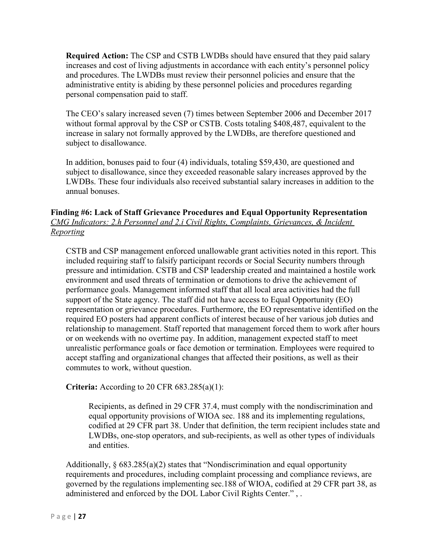**Required Action:** The CSP and CSTB LWDBs should have ensured that they paid salary increases and cost of living adjustments in accordance with each entity's personnel policy and procedures. The LWDBs must review their personnel policies and ensure that the administrative entity is abiding by these personnel policies and procedures regarding personal compensation paid to staff.

The CEO's salary increased seven (7) times between September 2006 and December 2017 without formal approval by the CSP or CSTB. Costs totaling \$408,487, equivalent to the increase in salary not formally approved by the LWDBs, are therefore questioned and subject to disallowance.

In addition, bonuses paid to four (4) individuals, totaling \$59,430, are questioned and subject to disallowance, since they exceeded reasonable salary increases approved by the LWDBs. These four individuals also received substantial salary increases in addition to the annual bonuses.

## <span id="page-28-0"></span>**Finding #6: Lack of Staff Grievance Procedures and Equal Opportunity Representation** *CMG Indicators: 2.h Personnel and 2.i Civil Rights, Complaints, Grievances, & Incident Reporting*

CSTB and CSP management enforced unallowable grant activities noted in this report. This included requiring staff to falsify participant records or Social Security numbers through pressure and intimidation. CSTB and CSP leadership created and maintained a hostile work environment and used threats of termination or demotions to drive the achievement of performance goals. Management informed staff that all local area activities had the full support of the State agency. The staff did not have access to Equal Opportunity (EO) representation or grievance procedures. Furthermore, the EO representative identified on the required EO posters had apparent conflicts of interest because of her various job duties and relationship to management. Staff reported that management forced them to work after hours or on weekends with no overtime pay. In addition, management expected staff to meet unrealistic performance goals or face demotion or termination. Employees were required to accept staffing and organizational changes that affected their positions, as well as their commutes to work, without question.

## **Criteria:** According to 20 CFR 683.285(a)(1):

Recipients, as defined in 29 CFR 37.4, must comply with the nondiscrimination and equal opportunity provisions of WIOA sec. 188 and its implementing regulations, codified at 29 CFR part 38. Under that definition, the term recipient includes state and LWDBs, one-stop operators, and sub-recipients, as well as other types of individuals and entities.

Additionally, § 683.285(a)(2) states that "Nondiscrimination and equal opportunity requirements and procedures, including complaint processing and compliance reviews, are governed by the regulations implementing sec.188 of WIOA, codified at 29 CFR part 38, as administered and enforced by the DOL Labor Civil Rights Center." , .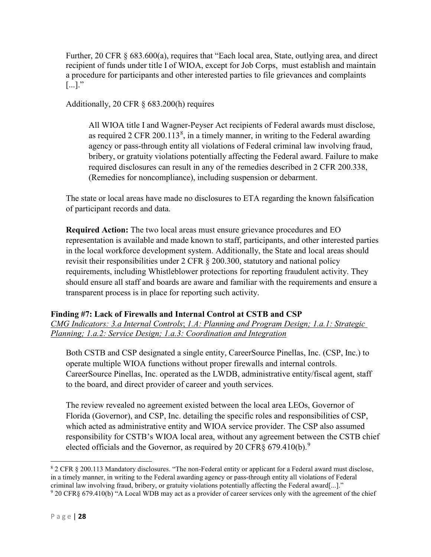Further, 20 CFR § 683.600(a), requires that "Each local area, State, outlying area, and direct recipient of funds under title I of WIOA, except for Job Corps, must establish and maintain a procedure for participants and other interested parties to file grievances and complaints  $\lbrack ... \rbrack$ ."

Additionally, 20 CFR § 683.200(h) requires

All WIOA title I and Wagner-Peyser Act recipients of Federal awards must disclose, as required 2 CFR 200.113 $^8$  $^8$ , in a timely manner, in writing to the Federal awarding agency or pass-through entity all violations of Federal criminal law involving fraud, bribery, or gratuity violations potentially affecting the Federal award. Failure to make required disclosures can result in any of the remedies described in 2 CFR 200.338, (Remedies for noncompliance), including suspension or debarment.

The state or local areas have made no disclosures to ETA regarding the known falsification of participant records and data.

**Required Action:** The two local areas must ensure grievance procedures and EO representation is available and made known to staff, participants, and other interested parties in the local workforce development system. Additionally, the State and local areas should revisit their responsibilities under 2 CFR § 200.300, statutory and national policy requirements, including Whistleblower protections for reporting fraudulent activity. They should ensure all staff and boards are aware and familiar with the requirements and ensure a transparent process is in place for reporting such activity.

## <span id="page-29-0"></span>**Finding #7: Lack of Firewalls and Internal Control at CSTB and CSP**

*CMG Indicators: 3.a Internal Controls*; *1.A: Planning and Program Design; 1.a.1: Strategic Planning; 1.a.2: Service Design; 1.a.3: Coordination and Integration*

Both CSTB and CSP designated a single entity, CareerSource Pinellas, Inc. (CSP, Inc.) to operate multiple WIOA functions without proper firewalls and internal controls. CareerSource Pinellas, Inc. operated as the LWDB, administrative entity/fiscal agent, staff to the board, and direct provider of career and youth services.

The review revealed no agreement existed between the local area LEOs, Governor of Florida (Governor), and CSP, Inc. detailing the specific roles and responsibilities of CSP, which acted as administrative entity and WIOA service provider. The CSP also assumed responsibility for CSTB's WIOA local area, without any agreement between the CSTB chief elected officials and the Governor, as required by 20 CFR§ 67[9](#page-29-2).410(b).<sup>9</sup>

<span id="page-29-1"></span> <sup>8</sup> 2 CFR § 200.113 Mandatory disclosures. "The non-Federal entity or applicant for a Federal award must disclose, in a timely manner, in writing to the Federal awarding agency or pass-through entity all violations of Federal criminal law involving fraud, bribery, or gratuity violations potentially affecting the Federal award[...]." <sup>9</sup> 20 CFR§ 679.410(b) "A Local WDB may act as a provider of career services only with the agreement of the chief

<span id="page-29-2"></span>P a g e | **28**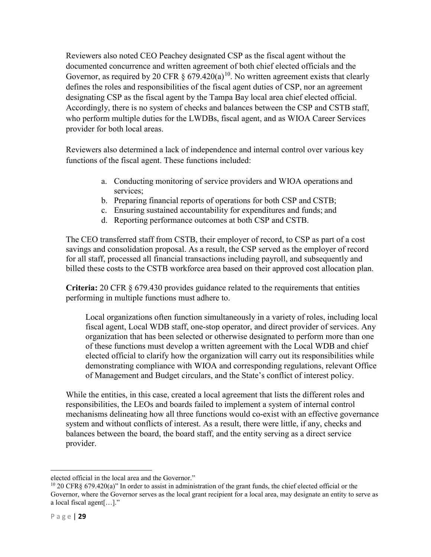Reviewers also noted CEO Peachey designated CSP as the fiscal agent without the documented concurrence and written agreement of both chief elected officials and the Governor, as required by 20 CFR  $\S$  679.420(a)<sup>[10](#page-30-0)</sup>. No written agreement exists that clearly defines the roles and responsibilities of the fiscal agent duties of CSP, nor an agreement designating CSP as the fiscal agent by the Tampa Bay local area chief elected official. Accordingly, there is no system of checks and balances between the CSP and CSTB staff, who perform multiple duties for the LWDBs, fiscal agent, and as WIOA Career Services provider for both local areas.

Reviewers also determined a lack of independence and internal control over various key functions of the fiscal agent. These functions included:

- a. Conducting monitoring of service providers and WIOA operations and services;
- b. Preparing financial reports of operations for both CSP and CSTB;
- c. Ensuring sustained accountability for expenditures and funds; and
- d. Reporting performance outcomes at both CSP and CSTB.

The CEO transferred staff from CSTB, their employer of record, to CSP as part of a cost savings and consolidation proposal. As a result, the CSP served as the employer of record for all staff, processed all financial transactions including payroll, and subsequently and billed these costs to the CSTB workforce area based on their approved cost allocation plan.

**Criteria:** 20 CFR § 679.430 provides guidance related to the requirements that entities performing in multiple functions must adhere to.

Local organizations often function simultaneously in a variety of roles, including local fiscal agent, Local WDB staff, one-stop operator, and direct provider of services. Any organization that has been selected or otherwise designated to perform more than one of these functions must develop a written agreement with the Local WDB and chief elected official to clarify how the organization will carry out its responsibilities while demonstrating compliance with WIOA and corresponding regulations, relevant Office of Management and Budget circulars, and the State's conflict of interest policy.

While the entities, in this case, created a local agreement that lists the different roles and responsibilities, the LEOs and boards failed to implement a system of internal control mechanisms delineating how all three functions would co-exist with an effective governance system and without conflicts of interest. As a result, there were little, if any, checks and balances between the board, the board staff, and the entity serving as a direct service provider.

 $\overline{a}$ 

elected official in the local area and the Governor."

<span id="page-30-0"></span><sup>10</sup> 20 CFR§ 679.420(a)" In order to assist in administration of the grant funds, the chief elected official or the Governor, where the Governor serves as the local grant recipient for a local area, may designate an entity to serve as a local fiscal agent[…]."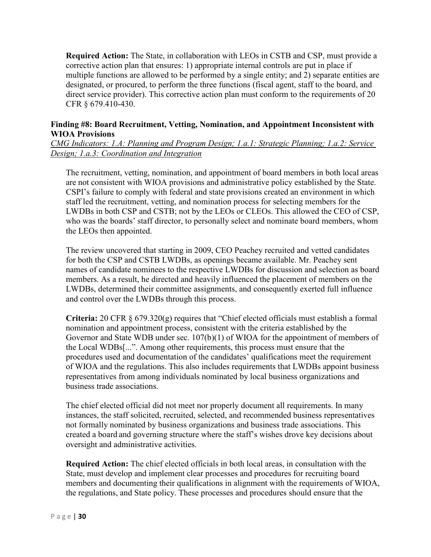**Required Action:** The State, in collaboration with LEOs in CSTB and CSP, must provide a corrective action plan that ensures: 1) appropriate internal controls are put in place if multiple functions are allowed to be performed by a single entity; and 2) separate entities are designated, or procured, to perform the three functions (fiscal agent, staff to the board, and direct service provider). This corrective action plan must conform to the requirements of 20 CFR § 679.410-430.

#### <span id="page-31-0"></span>**Finding #8: Board Recruitment, Vetting, Nomination, and Appointment Inconsistent with WIOA Provisions**

*CMG Indicators: 1.A: Planning and Program Design; 1.a.1: Strategic Planning; 1.a.2: Service Design; 1.a.3: Coordination and Integration*

The recruitment, vetting, nomination, and appointment of board members in both local areas are not consistent with WIOA provisions and administrative policy established by the State. CSPI's failure to comply with federal and state provisions created an environment in which staff led the recruitment, vetting, and nomination process for selecting members for the LWDBs in both CSP and CSTB; not by the LEOs or CLEOs. This allowed the CEO of CSP, who was the boards' staff director, to personally select and nominate board members, whom the LEOs then appointed.

The review uncovered that starting in 2009, CEO Peachey recruited and vetted candidates for both the CSP and CSTB LWDBs, as openings became available. Mr. Peachey sent names of candidate nominees to the respective LWDBs for discussion and selection as board members. As a result, he directed and heavily influenced the placement of members on the LWDBs, determined their committee assignments, and consequently exerted full influence and control over the LWDBs through this process.

**Criteria:** 20 CFR § 679.320(g) requires that "Chief elected officials must establish a formal nomination and appointment process, consistent with the criteria established by the Governor and State WDB under sec. 107(b)(1) of WIOA for the appointment of members of the Local WDBs[...". Among other requirements, this process must ensure that the procedures used and documentation of the candidates' qualifications meet the requirement of WIOA and the regulations. This also includes requirements that LWDBs appoint business representatives from among individuals nominated by local business organizations and business trade associations.

The chief elected official did not meet nor properly document all requirements. In many instances, the staff solicited, recruited, selected, and recommended business representatives not formally nominated by business organizations and business trade associations. This created a board and governing structure where the staff's wishes drove key decisions about oversight and administrative activities.

**Required Action:** The chief elected officials in both local areas, in consultation with the State, must develop and implement clear processes and procedures for recruiting board members and documenting their qualifications in alignment with the requirements of WIOA, the regulations, and State policy. These processes and procedures should ensure that the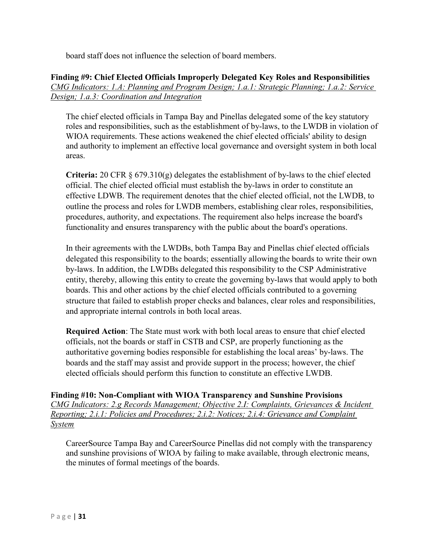board staff does not influence the selection of board members.

## <span id="page-32-0"></span>**Finding #9: Chief Elected Officials Improperly Delegated Key Roles and Responsibilities** *CMG Indicators: 1.A: Planning and Program Design; 1.a.1: Strategic Planning; 1.a.2: Service Design; 1.a.3: Coordination and Integration*

The chief elected officials in Tampa Bay and Pinellas delegated some of the key statutory roles and responsibilities, such as the establishment of by-laws, to the LWDB in violation of WIOA requirements. These actions weakened the chief elected officials' ability to design and authority to implement an effective local governance and oversight system in both local areas.

**Criteria:** 20 CFR § 679.310(g) delegates the establishment of by-laws to the chief elected official. The chief elected official must establish the by-laws in order to constitute an effective LDWB. The requirement denotes that the chief elected official, not the LWDB, to outline the process and roles for LWDB members, establishing clear roles, responsibilities, procedures, authority, and expectations. The requirement also helps increase the board's functionality and ensures transparency with the public about the board's operations.

In their agreements with the LWDBs, both Tampa Bay and Pinellas chief elected officials delegated this responsibility to the boards; essentially allowing the boards to write their own by-laws. In addition, the LWDBs delegated this responsibility to the CSP Administrative entity, thereby, allowing this entity to create the governing by-laws that would apply to both boards. This and other actions by the chief elected officials contributed to a governing structure that failed to establish proper checks and balances, clear roles and responsibilities, and appropriate internal controls in both local areas.

**Required Action**: The State must work with both local areas to ensure that chief elected officials, not the boards or staff in CSTB and CSP, are properly functioning as the authoritative governing bodies responsible for establishing the local areas' by-laws. The boards and the staff may assist and provide support in the process; however, the chief elected officials should perform this function to constitute an effective LWDB.

<span id="page-32-1"></span>**Finding #10: Non-Compliant with WIOA Transparency and Sunshine Provisions** *CMG Indicators: 2.g Records Management; Objective 2.I: Complaints, Grievances & Incident Reporting; 2.i.1: Policies and Procedures; 2.i.2: Notices; 2.i.4: Grievance and Complaint System*

CareerSource Tampa Bay and CareerSource Pinellas did not comply with the transparency and sunshine provisions of WIOA by failing to make available, through electronic means, the minutes of formal meetings of the boards.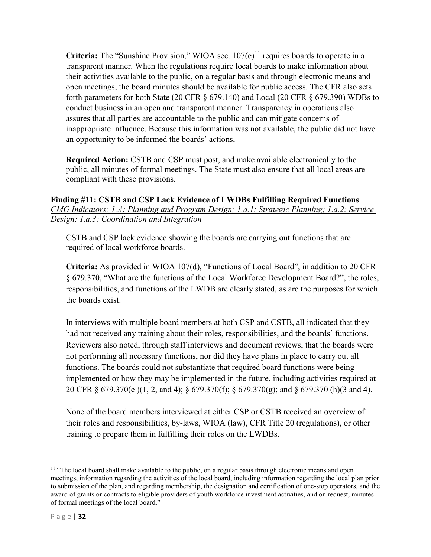**Criteria:** The "Sunshine Provision," WIOA sec.  $107(e)^{11}$  $107(e)^{11}$  $107(e)^{11}$  requires boards to operate in a transparent manner. When the regulations require local boards to make information about their activities available to the public, on a regular basis and through electronic means and open meetings, the board minutes should be available for public access. The CFR also sets forth parameters for both State (20 CFR  $\S$  679.140) and Local (20 CFR  $\S$  679.390) WDBs to conduct business in an open and transparent manner. Transparency in operations also assures that all parties are accountable to the public and can mitigate concerns of inappropriate influence. Because this information was not available, the public did not have an opportunity to be informed the boards' actions**.**

**Required Action:** CSTB and CSP must post, and make available electronically to the public, all minutes of formal meetings. The State must also ensure that all local areas are compliant with these provisions.

## <span id="page-33-0"></span>**Finding #11: CSTB and CSP Lack Evidence of LWDBs Fulfilling Required Functions** *CMG Indicators: 1.A: Planning and Program Design; 1.a.1: Strategic Planning; 1.a.2: Service Design; 1.a.3: Coordination and Integration*

CSTB and CSP lack evidence showing the boards are carrying out functions that are required of local workforce boards.

**Criteria:** As provided in WIOA 107(d), "Functions of Local Board", in addition to 20 CFR § 679.370, "What are the functions of the Local Workforce Development Board?", the roles, responsibilities, and functions of the LWDB are clearly stated, as are the purposes for which the boards exist.

In interviews with multiple board members at both CSP and CSTB, all indicated that they had not received any training about their roles, responsibilities, and the boards' functions. Reviewers also noted, through staff interviews and document reviews, that the boards were not performing all necessary functions, nor did they have plans in place to carry out all functions. The boards could not substantiate that required board functions were being implemented or how they may be implemented in the future, including activities required at 20 CFR § 679.370(e )(1, 2, and 4); § 679.370(f); § 679.370(g); and § 679.370 (h)(3 and 4).

None of the board members interviewed at either CSP or CSTB received an overview of their roles and responsibilities, by-laws, WIOA (law), CFR Title 20 (regulations), or other training to prepare them in fulfilling their roles on the LWDBs.

<span id="page-33-1"></span><sup>&</sup>lt;sup>11</sup> "The local board shall make available to the public, on a regular basis through electronic means and open meetings, information regarding the activities of the local board, including information regarding the local plan prior to submission of the plan, and regarding membership, the designation and certification of one-stop operators, and the award of grants or contracts to eligible providers of youth workforce investment activities, and on request, minutes of formal meetings of the local board."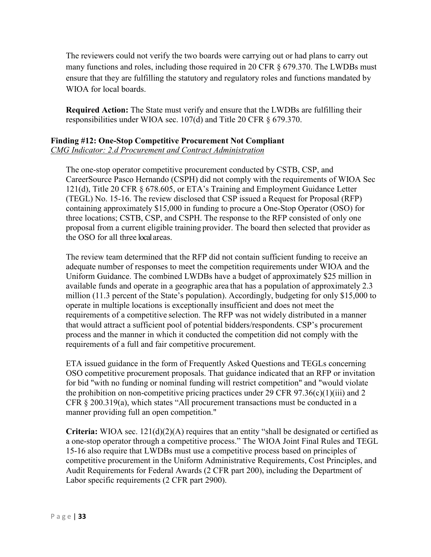The reviewers could not verify the two boards were carrying out or had plans to carry out many functions and roles, including those required in 20 CFR § 679.370. The LWDBs must ensure that they are fulfilling the statutory and regulatory roles and functions mandated by WIOA for local boards.

**Required Action:** The State must verify and ensure that the LWDBs are fulfilling their responsibilities under WIOA sec. 107(d) and Title 20 CFR § 679.370.

#### <span id="page-34-0"></span>**Finding #12: One-Stop Competitive Procurement Not Compliant** *CMG Indicator: 2.d Procurement and Contract Administration*

The one-stop operator competitive procurement conducted by CSTB, CSP, and CareerSource Pasco Hernando (CSPH) did not comply with the requirements of WIOA Sec 121(d), Title 20 CFR § 678.605, or ETA's Training and Employment Guidance Letter (TEGL) No. 15-16. The review disclosed that CSP issued a Request for Proposal (RFP) containing approximately \$15,000 in funding to procure a One-Stop Operator (OSO) for three locations; CSTB, CSP, and CSPH. The response to the RFP consisted of only one proposal from a current eligible training provider. The board then selected that provider as the OSO for all three local areas.

The review team determined that the RFP did not contain sufficient funding to receive an adequate number of responses to meet the competition requirements under WIOA and the Uniform Guidance. The combined LWDBs have a budget of approximately \$25 million in available funds and operate in a geographic area that has a population of approximately 2.3 million (11.3 percent of the State's population). Accordingly, budgeting for only \$15,000 to operate in multiple locations is exceptionally insufficient and does not meet the requirements of a competitive selection. The RFP was not widely distributed in a manner that would attract a sufficient pool of potential bidders/respondents. CSP's procurement process and the manner in which it conducted the competition did not comply with the requirements of a full and fair competitive procurement.

ETA issued guidance in the form of Frequently Asked Questions and TEGLs concerning OSO competitive procurement proposals. That guidance indicated that an RFP or invitation for bid "with no funding or nominal funding will restrict competition" and "would violate the prohibition on non-competitive pricing practices under 29 CFR 97.36(c)(1)(iii) and 2 CFR § 200.319(a), which states "All procurement transactions must be conducted in a manner providing full an open competition."

**Criteria:** WIOA sec. 121(d)(2)(A) requires that an entity "shall be designated or certified as a one-stop operator through a competitive process." The WIOA Joint Final Rules and TEGL 15-16 also require that LWDBs must use a competitive process based on principles of competitive procurement in the Uniform Administrative Requirements, Cost Principles, and Audit Requirements for Federal Awards (2 CFR part 200), including the Department of Labor specific requirements (2 CFR part 2900).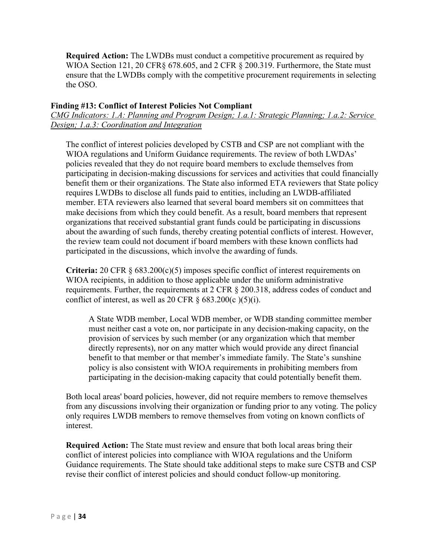**Required Action:** The LWDBs must conduct a competitive procurement as required by WIOA Section 121, 20 CFR§ 678.605, and 2 CFR § 200.319. Furthermore, the State must ensure that the LWDBs comply with the competitive procurement requirements in selecting the OSO.

#### <span id="page-35-0"></span>**Finding #13: Conflict of Interest Policies Not Compliant**

*CMG Indicators: 1.A: Planning and Program Design; 1.a.1: Strategic Planning; 1.a.2: Service Design; 1.a.3: Coordination and Integration*

The conflict of interest policies developed by CSTB and CSP are not compliant with the WIOA regulations and Uniform Guidance requirements. The review of both LWDAs' policies revealed that they do not require board members to exclude themselves from participating in decision-making discussions for services and activities that could financially benefit them or their organizations. The State also informed ETA reviewers that State policy requires LWDBs to disclose all funds paid to entities, including an LWDB-affiliated member. ETA reviewers also learned that several board members sit on committees that make decisions from which they could benefit. As a result, board members that represent organizations that received substantial grant funds could be participating in discussions about the awarding of such funds, thereby creating potential conflicts of interest. However, the review team could not document if board members with these known conflicts had participated in the discussions, which involve the awarding of funds.

**Criteria:** 20 CFR § 683.200(c)(5) imposes specific conflict of interest requirements on WIOA recipients, in addition to those applicable under the uniform administrative requirements. Further, the requirements at 2 CFR § 200.318, address codes of conduct and conflict of interest, as well as 20 CFR  $\S$  683.200(c )(5)(i).

A State WDB member, Local WDB member, or WDB standing committee member must neither cast a vote on, nor participate in any decision-making capacity, on the provision of services by such member (or any organization which that member directly represents), nor on any matter which would provide any direct financial benefit to that member or that member's immediate family. The State's sunshine policy is also consistent with WIOA requirements in prohibiting members from participating in the decision-making capacity that could potentially benefit them.

Both local areas' board policies, however, did not require members to remove themselves from any discussions involving their organization or funding prior to any voting. The policy only requires LWDB members to remove themselves from voting on known conflicts of interest.

**Required Action:** The State must review and ensure that both local areas bring their conflict of interest policies into compliance with WIOA regulations and the Uniform Guidance requirements. The State should take additional steps to make sure CSTB and CSP revise their conflict of interest policies and should conduct follow-up monitoring.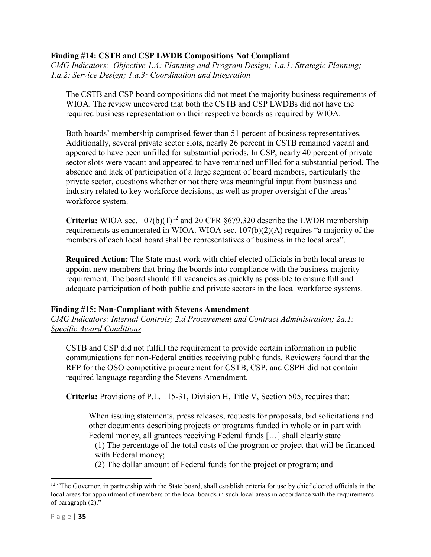## **Finding #14: CSTB and CSP LWDB Compositions Not Compliant**

*CMG Indicators: Objective 1.A: Planning and Program Design; 1.a.1: Strategic Planning; 1.a.2: Service Design; 1.a.3: Coordination and Integration*

The CSTB and CSP board compositions did not meet the majority business requirements of WIOA. The review uncovered that both the CSTB and CSP LWDBs did not have the required business representation on their respective boards as required by WIOA.

Both boards' membership comprised fewer than 51 percent of business representatives. Additionally, several private sector slots, nearly 26 percent in CSTB remained vacant and appeared to have been unfilled for substantial periods. In CSP, nearly 40 percent of private sector slots were vacant and appeared to have remained unfilled for a substantial period. The absence and lack of participation of a large segment of board members, particularly the private sector, questions whether or not there was meaningful input from business and industry related to key workforce decisions, as well as proper oversight of the areas' workforce system.

**Criteria:** WIOA sec.  $107(b)(1)^{12}$  $107(b)(1)^{12}$  $107(b)(1)^{12}$  and 20 CFR §679.320 describe the LWDB membership requirements as enumerated in WIOA. WIOA sec. 107(b)(2)(A) requires "a majority of the members of each local board shall be representatives of business in the local area".

**Required Action:** The State must work with chief elected officials in both local areas to appoint new members that bring the boards into compliance with the business majority requirement. The board should fill vacancies as quickly as possible to ensure full and adequate participation of both public and private sectors in the local workforce systems.

## <span id="page-36-0"></span>**Finding #15: Non-Compliant with Stevens Amendment**

*CMG Indicators: Internal Controls; 2.d Procurement and Contract Administration; 2a.1: Specific Award Conditions*

CSTB and CSP did not fulfill the requirement to provide certain information in public communications for non-Federal entities receiving public funds. Reviewers found that the RFP for the OSO competitive procurement for CSTB, CSP, and CSPH did not contain required language regarding the Stevens Amendment.

**Criteria:** Provisions of P.L. 115-31, Division H, Title V, Section 505, requires that:

When issuing statements, press releases, requests for proposals, bid solicitations and other documents describing projects or programs funded in whole or in part with Federal money, all grantees receiving Federal funds […] shall clearly state—

(1) The percentage of the total costs of the program or project that will be financed with Federal money;

(2) The dollar amount of Federal funds for the project or program; and

<span id="page-36-1"></span><sup>&</sup>lt;sup>12</sup> "The Governor, in partnership with the State board, shall establish criteria for use by chief elected officials in the local areas for appointment of members of the local boards in such local areas in accordance with the requirements of paragraph (2)."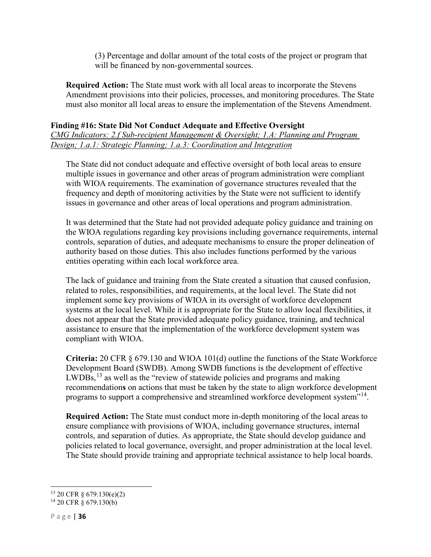(3) Percentage and dollar amount of the total costs of the project or program that will be financed by non-governmental sources.

**Required Action:** The State must work with all local areas to incorporate the Stevens Amendment provisions into their policies, processes, and monitoring procedures. The State must also monitor all local areas to ensure the implementation of the Stevens Amendment.

## <span id="page-37-0"></span>**Finding #16: State Did Not Conduct Adequate and Effective Oversight**

*CMG Indicators: 2.f Sub-recipient Management & Oversight; 1.A: Planning and Program Design; 1.a.1: Strategic Planning; 1.a.3: Coordination and Integration*

The State did not conduct adequate and effective oversight of both local areas to ensure multiple issues in governance and other areas of program administration were compliant with WIOA requirements. The examination of governance structures revealed that the frequency and depth of monitoring activities by the State were not sufficient to identify issues in governance and other areas of local operations and program administration.

It was determined that the State had not provided adequate policy guidance and training on the WIOA regulations regarding key provisions including governance requirements, internal controls, separation of duties, and adequate mechanisms to ensure the proper delineation of authority based on those duties. This also includes functions performed by the various entities operating within each local workforce area.

The lack of guidance and training from the State created a situation that caused confusion, related to roles, responsibilities, and requirements, at the local level. The State did not implement some key provisions of WIOA in its oversight of workforce development systems at the local level. While it is appropriate for the State to allow local flexibilities, it does not appear that the State provided adequate policy guidance, training, and technical assistance to ensure that the implementation of the workforce development system was compliant with WIOA.

**Criteria:** 20 CFR § 679.130 and WIOA 101(d) outline the functions of the State Workforce Development Board (SWDB). Among SWDB functions is the development of effective LWDBs,<sup>[13](#page-37-1)</sup> as well as the "review of statewide policies and programs and making recommendation**s** on actions that must be taken by the state to align workforce development programs to support a comprehensive and streamlined workforce development system<sup>"[14](#page-37-2)</sup>.

**Required Action:** The State must conduct more in-depth monitoring of the local areas to ensure compliance with provisions of WIOA, including governance structures, internal controls, and separation of duties. As appropriate, the State should develop guidance and policies related to local governance, oversight, and proper administration at the local level. The State should provide training and appropriate technical assistance to help local boards.

<span id="page-37-1"></span> $13$  20 CFR  $\S$  679.130(e)(2)

<span id="page-37-2"></span><sup>14</sup> 20 CFR § 679.130(b)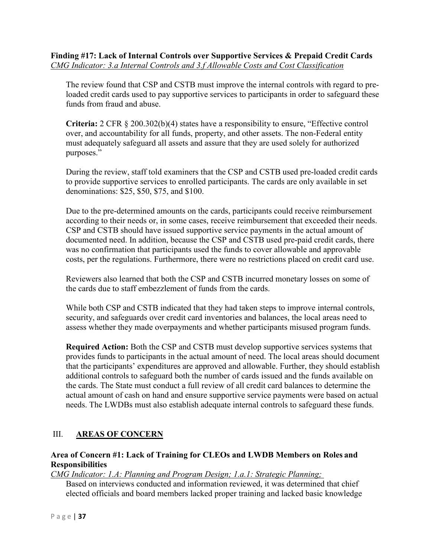<span id="page-38-0"></span>The review found that CSP and CSTB must improve the internal controls with regard to preloaded credit cards used to pay supportive services to participants in order to safeguard these funds from fraud and abuse.

**Criteria:** 2 CFR § 200.302(b)(4) states have a responsibility to ensure, "Effective control over, and accountability for all funds, property, and other assets. The non-Federal entity must adequately safeguard all assets and assure that they are used solely for authorized purposes."

During the review, staff told examiners that the CSP and CSTB used pre-loaded credit cards to provide supportive services to enrolled participants. The cards are only available in set denominations: \$25, \$50, \$75, and \$100.

Due to the pre-determined amounts on the cards, participants could receive reimbursement according to their needs or, in some cases, receive reimbursement that exceeded their needs. CSP and CSTB should have issued supportive service payments in the actual amount of documented need. In addition, because the CSP and CSTB used pre-paid credit cards, there was no confirmation that participants used the funds to cover allowable and approvable costs, per the regulations. Furthermore, there were no restrictions placed on credit card use.

Reviewers also learned that both the CSP and CSTB incurred monetary losses on some of the cards due to staff embezzlement of funds from the cards.

While both CSP and CSTB indicated that they had taken steps to improve internal controls, security, and safeguards over credit card inventories and balances, the local areas need to assess whether they made overpayments and whether participants misused program funds.

**Required Action:** Both the CSP and CSTB must develop supportive services systems that provides funds to participants in the actual amount of need. The local areas should document that the participants' expenditures are approved and allowable. Further, they should establish additional controls to safeguard both the number of cards issued and the funds available on the cards. The State must conduct a full review of all credit card balances to determine the actual amount of cash on hand and ensure supportive service payments were based on actual needs. The LWDBs must also establish adequate internal controls to safeguard these funds.

# <span id="page-38-1"></span>III. **AREAS OF CONCERN**

## <span id="page-38-2"></span>**Area of Concern #1: Lack of Training for CLEOs and LWDB Members on Roles and Responsibilities**

# *CMG Indicator: 1.A: Planning and Program Design; 1.a.1: Strategic Planning;*

Based on interviews conducted and information reviewed, it was determined that chief elected officials and board members lacked proper training and lacked basic knowledge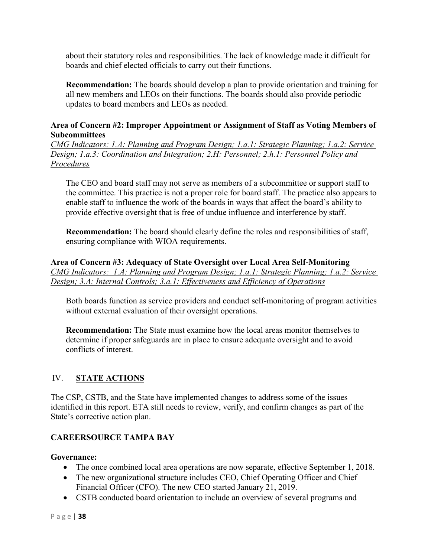about their statutory roles and responsibilities. The lack of knowledge made it difficult for boards and chief elected officials to carry out their functions.

**Recommendation:** The boards should develop a plan to provide orientation and training for all new members and LEOs on their functions. The boards should also provide periodic updates to board members and LEOs as needed.

## <span id="page-39-0"></span>**Area of Concern #2: Improper Appointment or Assignment of Staff as Voting Members of Subcommittees**

*CMG Indicators: 1.A: Planning and Program Design; 1.a.1: Strategic Planning; 1.a.2: Service Design; 1.a.3: Coordination and Integration; 2.H: Personnel; 2.h.1: Personnel Policy and Procedures*

The CEO and board staff may not serve as members of a subcommittee or support staff to the committee. This practice is not a proper role for board staff. The practice also appears to enable staff to influence the work of the boards in ways that affect the board's ability to provide effective oversight that is free of undue influence and interference by staff.

**Recommendation:** The board should clearly define the roles and responsibilities of staff, ensuring compliance with WIOA requirements.

<span id="page-39-1"></span>**Area of Concern #3: Adequacy of State Oversight over Local Area Self-Monitoring** *CMG Indicators: 1.A: Planning and Program Design; 1.a.1: Strategic Planning; 1.a.2: Service Design; 3.A: Internal Controls; 3.a.1: Effectiveness and Efficiency of Operations*

Both boards function as service providers and conduct self-monitoring of program activities without external evaluation of their oversight operations.

**Recommendation:** The State must examine how the local areas monitor themselves to determine if proper safeguards are in place to ensure adequate oversight and to avoid conflicts of interest.

# <span id="page-39-2"></span>IV. **STATE ACTIONS**

The CSP, CSTB, and the State have implemented changes to address some of the issues identified in this report. ETA still needs to review, verify, and confirm changes as part of the State's corrective action plan.

# <span id="page-39-3"></span>**CAREERSOURCE TAMPA BAY**

## **Governance:**

- The once combined local area operations are now separate, effective September 1, 2018.
- The new organizational structure includes CEO, Chief Operating Officer and Chief Financial Officer (CFO). The new CEO started January 21, 2019.
- CSTB conducted board orientation to include an overview of several programs and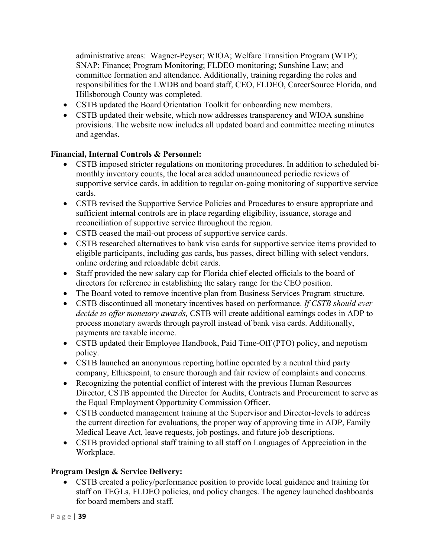administrative areas: Wagner-Peyser; WIOA; Welfare Transition Program (WTP); SNAP; Finance; Program Monitoring; FLDEO monitoring; Sunshine Law; and committee formation and attendance. Additionally, training regarding the roles and responsibilities for the LWDB and board staff, CEO, FLDEO, CareerSource Florida, and Hillsborough County was completed.

- CSTB updated the Board Orientation Toolkit for onboarding new members.
- CSTB updated their website, which now addresses transparency and WIOA sunshine provisions. The website now includes all updated board and committee meeting minutes and agendas.

## **Financial, Internal Controls & Personnel:**

- CSTB imposed stricter regulations on monitoring procedures. In addition to scheduled bimonthly inventory counts, the local area added unannounced periodic reviews of supportive service cards, in addition to regular on-going monitoring of supportive service cards.
- CSTB revised the Supportive Service Policies and Procedures to ensure appropriate and sufficient internal controls are in place regarding eligibility, issuance, storage and reconciliation of supportive service throughout the region.
- CSTB ceased the mail-out process of supportive service cards.
- CSTB researched alternatives to bank visa cards for supportive service items provided to eligible participants, including gas cards, bus passes, direct billing with select vendors, online ordering and reloadable debit cards.
- Staff provided the new salary cap for Florida chief elected officials to the board of directors for reference in establishing the salary range for the CEO position.
- The Board voted to remove incentive plan from Business Services Program structure.
- CSTB discontinued all monetary incentives based on performance. *If CSTB should ever decide to offer monetary awards,* CSTB will create additional earnings codes in ADP to process monetary awards through payroll instead of bank visa cards. Additionally, payments are taxable income.
- CSTB updated their Employee Handbook, Paid Time-Off (PTO) policy, and nepotism policy.
- CSTB launched an anonymous reporting hotline operated by a neutral third party company, Ethicspoint, to ensure thorough and fair review of complaints and concerns.
- Recognizing the potential conflict of interest with the previous Human Resources Director, CSTB appointed the Director for Audits, Contracts and Procurement to serve as the Equal Employment Opportunity Commission Officer.
- CSTB conducted management training at the Supervisor and Director-levels to address the current direction for evaluations, the proper way of approving time in ADP, Family Medical Leave Act, leave requests, job postings, and future job descriptions.
- CSTB provided optional staff training to all staff on Languages of Appreciation in the Workplace.

# **Program Design & Service Delivery:**

• CSTB created a policy/performance position to provide local guidance and training for staff on TEGLs, FLDEO policies, and policy changes. The agency launched dashboards for board members and staff.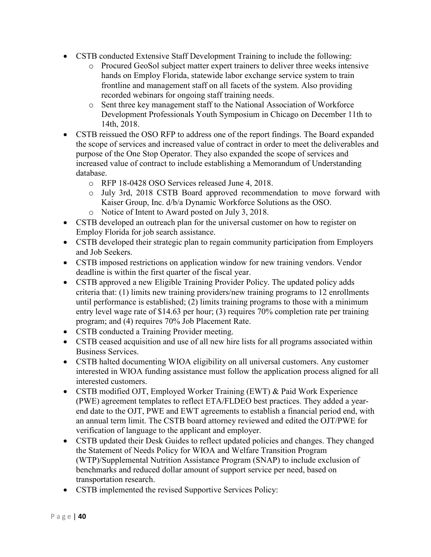- CSTB conducted Extensive Staff Development Training to include the following:
	- o Procured GeoSol subject matter expert trainers to deliver three weeks intensive hands on Employ Florida, statewide labor exchange service system to train frontline and management staff on all facets of the system. Also providing recorded webinars for ongoing staff training needs.
	- o Sent three key management staff to the National Association of Workforce Development Professionals Youth Symposium in Chicago on December 11th to 14th, 2018.
- CSTB reissued the OSO RFP to address one of the report findings. The Board expanded the scope of services and increased value of contract in order to meet the deliverables and purpose of the One Stop Operator. They also expanded the scope of services and increased value of contract to include establishing a Memorandum of Understanding database.
	- o RFP 18-0428 OSO Services released June 4, 2018.
	- o July 3rd, 2018 CSTB Board approved recommendation to move forward with Kaiser Group, Inc. d/b/a Dynamic Workforce Solutions as the OSO.
	- o Notice of Intent to Award posted on July 3, 2018.
- CSTB developed an outreach plan for the universal customer on how to register on Employ Florida for job search assistance.
- CSTB developed their strategic plan to regain community participation from Employers and Job Seekers.
- CSTB imposed restrictions on application window for new training vendors. Vendor deadline is within the first quarter of the fiscal year.
- CSTB approved a new Eligible Training Provider Policy. The updated policy adds criteria that: (1) limits new training providers/new training programs to 12 enrollments until performance is established; (2) limits training programs to those with a minimum entry level wage rate of \$14.63 per hour; (3) requires 70% completion rate per training program; and (4) requires 70% Job Placement Rate.
- CSTB conducted a Training Provider meeting.
- CSTB ceased acquisition and use of all new hire lists for all programs associated within Business Services.
- CSTB halted documenting WIOA eligibility on all universal customers. Any customer interested in WIOA funding assistance must follow the application process aligned for all interested customers.
- CSTB modified OJT, Employed Worker Training (EWT) & Paid Work Experience (PWE) agreement templates to reflect ETA/FLDEO best practices. They added a yearend date to the OJT, PWE and EWT agreements to establish a financial period end, with an annual term limit. The CSTB board attorney reviewed and edited the OJT/PWE for verification of language to the applicant and employer.
- CSTB updated their Desk Guides to reflect updated policies and changes. They changed the Statement of Needs Policy for WIOA and Welfare Transition Program (WTP)/Supplemental Nutrition Assistance Program (SNAP) to include exclusion of benchmarks and reduced dollar amount of support service per need, based on transportation research.
- CSTB implemented the revised Supportive Services Policy: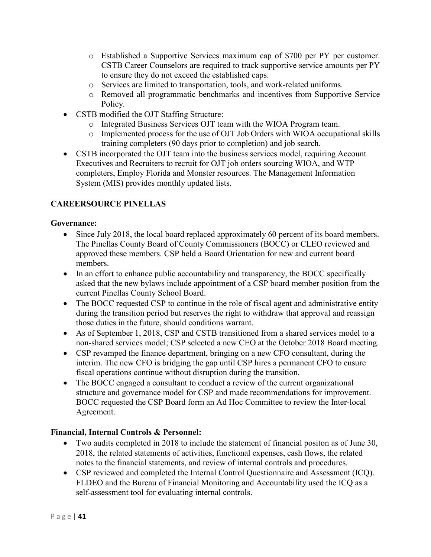- o Established a Supportive Services maximum cap of \$700 per PY per customer. CSTB Career Counselors are required to track supportive service amounts per PY to ensure they do not exceed the established caps.
- o Services are limited to transportation, tools, and work-related uniforms.
- o Removed all programmatic benchmarks and incentives from Supportive Service Policy.
- CSTB modified the OJT Staffing Structure:
	- o Integrated Business Services OJT team with the WIOA Program team.
	- o Implemented process for the use of OJT Job Orders with WIOA occupational skills training completers (90 days prior to completion) and job search.
- CSTB incorporated the OJT team into the business services model, requiring Account Executives and Recruiters to recruit for OJT job orders sourcing WIOA, and WTP completers, Employ Florida and Monster resources. The Management Information System (MIS) provides monthly updated lists.

# <span id="page-42-0"></span>**CAREERSOURCE PINELLAS**

## **Governance:**

- Since July 2018, the local board replaced approximately 60 percent of its board members. The Pinellas County Board of County Commissioners (BOCC) or CLEO reviewed and approved these members. CSP held a Board Orientation for new and current board members.
- In an effort to enhance public accountability and transparency, the BOCC specifically asked that the new bylaws include appointment of a CSP board member position from the current Pinellas County School Board.
- The BOCC requested CSP to continue in the role of fiscal agent and administrative entity during the transition period but reserves the right to withdraw that approval and reassign those duties in the future, should conditions warrant.
- As of September 1, 2018, CSP and CSTB transitioned from a shared services model to a non-shared services model; CSP selected a new CEO at the October 2018 Board meeting.
- CSP revamped the finance department, bringing on a new CFO consultant, during the interim. The new CFO is bridging the gap until CSP hires a permanent CFO to ensure fiscal operations continue without disruption during the transition.
- The BOCC engaged a consultant to conduct a review of the current organizational structure and governance model for CSP and made recommendations for improvement. BOCC requested the CSP Board form an Ad Hoc Committee to review the Inter-local Agreement.

## **Financial, Internal Controls & Personnel:**

- Two audits completed in 2018 to include the statement of financial positon as of June 30, 2018, the related statements of activities, functional expenses, cash flows, the related notes to the financial statements, and review of internal controls and procedures.
- CSP reviewed and completed the Internal Control Questionnaire and Assessment (ICQ). FLDEO and the Bureau of Financial Monitoring and Accountability used the ICQ as a self-assessment tool for evaluating internal controls.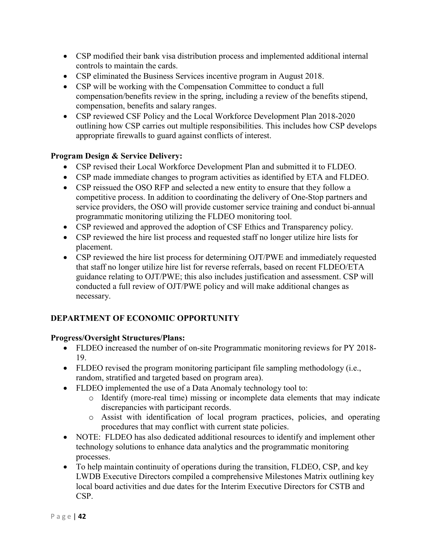- CSP modified their bank visa distribution process and implemented additional internal controls to maintain the cards.
- CSP eliminated the Business Services incentive program in August 2018.
- CSP will be working with the Compensation Committee to conduct a full compensation/benefits review in the spring, including a review of the benefits stipend, compensation, benefits and salary ranges.
- CSP reviewed CSF Policy and the Local Workforce Development Plan 2018-2020 outlining how CSP carries out multiple responsibilities. This includes how CSP develops appropriate firewalls to guard against conflicts of interest.

## **Program Design & Service Delivery:**

- CSP revised their Local Workforce Development Plan and submitted it to FLDEO.
- CSP made immediate changes to program activities as identified by ETA and FLDEO.
- CSP reissued the OSO RFP and selected a new entity to ensure that they follow a competitive process. In addition to coordinating the delivery of One-Stop partners and service providers, the OSO will provide customer service training and conduct bi-annual programmatic monitoring utilizing the FLDEO monitoring tool.
- CSP reviewed and approved the adoption of CSF Ethics and Transparency policy.
- CSP reviewed the hire list process and requested staff no longer utilize hire lists for placement.
- CSP reviewed the hire list process for determining OJT/PWE and immediately requested that staff no longer utilize hire list for reverse referrals, based on recent FLDEO/ETA guidance relating to OJT/PWE; this also includes justification and assessment. CSP will conducted a full review of OJT/PWE policy and will make additional changes as necessary.

# <span id="page-43-0"></span>**DEPARTMENT OF ECONOMIC OPPORTUNITY**

## **Progress/Oversight Structures/Plans:**

- FLDEO increased the number of on-site Programmatic monitoring reviews for PY 2018- 19.
- FLDEO revised the program monitoring participant file sampling methodology (i.e., random, stratified and targeted based on program area).
- FLDEO implemented the use of a Data Anomaly technology tool to:
	- o Identify (more-real time) missing or incomplete data elements that may indicate discrepancies with participant records.
	- o Assist with identification of local program practices, policies, and operating procedures that may conflict with current state policies.
- NOTE: FLDEO has also dedicated additional resources to identify and implement other technology solutions to enhance data analytics and the programmatic monitoring processes.
- To help maintain continuity of operations during the transition, FLDEO, CSP, and key LWDB Executive Directors compiled a comprehensive Milestones Matrix outlining key local board activities and due dates for the Interim Executive Directors for CSTB and CSP.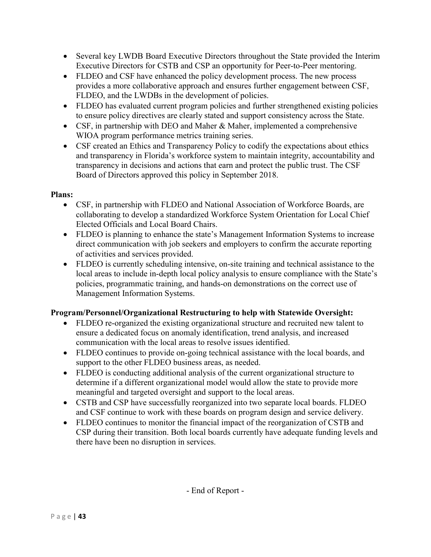- Several key LWDB Board Executive Directors throughout the State provided the Interim Executive Directors for CSTB and CSP an opportunity for Peer-to-Peer mentoring.
- FLDEO and CSF have enhanced the policy development process. The new process provides a more collaborative approach and ensures further engagement between CSF, FLDEO, and the LWDBs in the development of policies.
- FLDEO has evaluated current program policies and further strengthened existing policies to ensure policy directives are clearly stated and support consistency across the State.
- CSF, in partnership with DEO and Maher & Maher, implemented a comprehensive WIOA program performance metrics training series.
- CSF created an Ethics and Transparency Policy to codify the expectations about ethics and transparency in Florida's workforce system to maintain integrity, accountability and transparency in decisions and actions that earn and protect the public trust. The CSF Board of Directors approved this policy in September 2018.

## **Plans:**

- CSF, in partnership with FLDEO and National Association of Workforce Boards, are collaborating to develop a standardized Workforce System Orientation for Local Chief Elected Officials and Local Board Chairs.
- FLDEO is planning to enhance the state's Management Information Systems to increase direct communication with job seekers and employers to confirm the accurate reporting of activities and services provided.
- FLDEO is currently scheduling intensive, on-site training and technical assistance to the local areas to include in-depth local policy analysis to ensure compliance with the State's policies, programmatic training, and hands-on demonstrations on the correct use of Management Information Systems.

# **Program/Personnel/Organizational Restructuring to help with Statewide Oversight:**

- FLDEO re-organized the existing organizational structure and recruited new talent to ensure a dedicated focus on anomaly identification, trend analysis, and increased communication with the local areas to resolve issues identified.
- FLDEO continues to provide on-going technical assistance with the local boards, and support to the other FLDEO business areas, as needed.
- FLDEO is conducting additional analysis of the current organizational structure to determine if a different organizational model would allow the state to provide more meaningful and targeted oversight and support to the local areas.
- CSTB and CSP have successfully reorganized into two separate local boards. FLDEO and CSF continue to work with these boards on program design and service delivery.
- FLDEO continues to monitor the financial impact of the reorganization of CSTB and CSP during their transition. Both local boards currently have adequate funding levels and there have been no disruption in services.

- End of Report -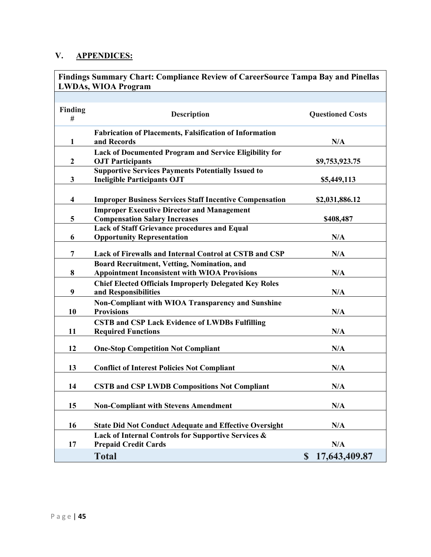# <span id="page-46-0"></span>**V. APPENDICES:**

<span id="page-46-1"></span>

| Findings Summary Chart: Compliance Review of CareerSource Tampa Bay and Pinellas<br><b>LWDAs, WIOA Program</b> |                                                                                                     |                              |  |  |
|----------------------------------------------------------------------------------------------------------------|-----------------------------------------------------------------------------------------------------|------------------------------|--|--|
|                                                                                                                |                                                                                                     |                              |  |  |
| Finding<br>#                                                                                                   | <b>Description</b>                                                                                  | <b>Questioned Costs</b>      |  |  |
| 1                                                                                                              | <b>Fabrication of Placements, Falsification of Information</b><br>and Records                       | N/A                          |  |  |
| $\mathbf{2}$                                                                                                   | Lack of Documented Program and Service Eligibility for<br><b>OJT Participants</b>                   | \$9,753,923.75               |  |  |
| 3                                                                                                              | <b>Supportive Services Payments Potentially Issued to</b><br><b>Ineligible Participants OJT</b>     | \$5,449,113                  |  |  |
| 4                                                                                                              | <b>Improper Business Services Staff Incentive Compensation</b>                                      | \$2,031,886.12               |  |  |
| 5                                                                                                              | <b>Improper Executive Director and Management</b><br><b>Compensation Salary Increases</b>           | \$408,487                    |  |  |
| 6                                                                                                              | <b>Lack of Staff Grievance procedures and Equal</b><br><b>Opportunity Representation</b>            | N/A                          |  |  |
| $\overline{7}$                                                                                                 | Lack of Firewalls and Internal Control at CSTB and CSP                                              | N/A                          |  |  |
| 8                                                                                                              | Board Recruitment, Vetting, Nomination, and<br><b>Appointment Inconsistent with WIOA Provisions</b> | N/A                          |  |  |
| 9                                                                                                              | <b>Chief Elected Officials Improperly Delegated Key Roles</b><br>and Responsibilities               | N/A                          |  |  |
| 10                                                                                                             | <b>Non-Compliant with WIOA Transparency and Sunshine</b><br><b>Provisions</b>                       | N/A                          |  |  |
| 11                                                                                                             | <b>CSTB and CSP Lack Evidence of LWDBs Fulfilling</b><br><b>Required Functions</b>                  | N/A                          |  |  |
| 12                                                                                                             | <b>One-Stop Competition Not Compliant</b>                                                           | N/A                          |  |  |
| 13                                                                                                             | <b>Conflict of Interest Policies Not Compliant</b>                                                  | N/A                          |  |  |
| 14                                                                                                             | <b>CSTB and CSP LWDB Compositions Not Compliant</b>                                                 | N/A                          |  |  |
| 15                                                                                                             | <b>Non-Compliant with Stevens Amendment</b>                                                         | N/A                          |  |  |
| 16                                                                                                             | <b>State Did Not Conduct Adequate and Effective Oversight</b>                                       | N/A                          |  |  |
| 17                                                                                                             | Lack of Internal Controls for Supportive Services &<br><b>Prepaid Credit Cards</b>                  | N/A                          |  |  |
|                                                                                                                | <b>Total</b>                                                                                        | 17,643,409.87<br>$\mathbf S$ |  |  |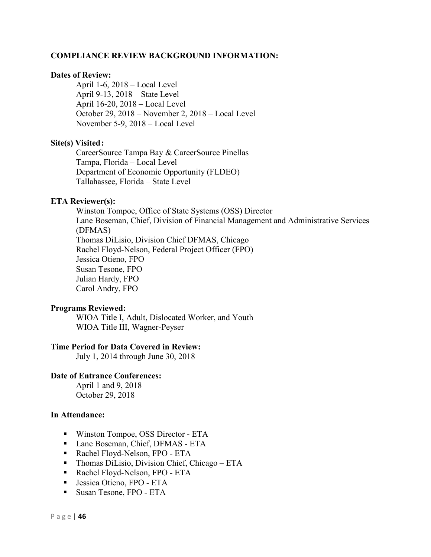#### <span id="page-47-0"></span>**COMPLIANCE REVIEW BACKGROUND INFORMATION:**

#### **Dates of Review:**

April 1-6, 2018 – Local Level April 9-13, 2018 – State Level April 16-20, 2018 – Local Level October 29, 2018 – November 2, 2018 – Local Level November 5-9, 2018 – Local Level

#### **Site(s) Visited:**

CareerSource Tampa Bay & CareerSource Pinellas Tampa, Florida – Local Level Department of Economic Opportunity (FLDEO) Tallahassee, Florida – State Level

#### **ETA Reviewer(s):**

Winston Tompoe, Office of State Systems (OSS) Director Lane Boseman, Chief, Division of Financial Management and Administrative Services (DFMAS) Thomas DiLisio, Division Chief DFMAS, Chicago Rachel Floyd-Nelson, Federal Project Officer (FPO) Jessica Otieno, FPO Susan Tesone, FPO Julian Hardy, FPO Carol Andry, FPO

#### **Programs Reviewed:**

WIOA Title I, Adult, Dislocated Worker, and Youth WIOA Title III, Wagner-Peyser

#### **Time Period for Data Covered in Review:**

July 1, 2014 through June 30, 2018

#### **Date of Entrance Conferences:**

April 1 and 9, 2018 October 29, 2018

#### **In Attendance:**

- Winston Tompoe, OSS Director ETA
- Lane Boseman, Chief, DFMAS ETA
- Rachel Floyd-Nelson, FPO ETA
- **Thomas DiLisio, Division Chief, Chicago ETA**
- Rachel Floyd-Nelson, FPO ETA
- **Jessica Otieno, FPO ETA**
- Susan Tesone, FPO ETA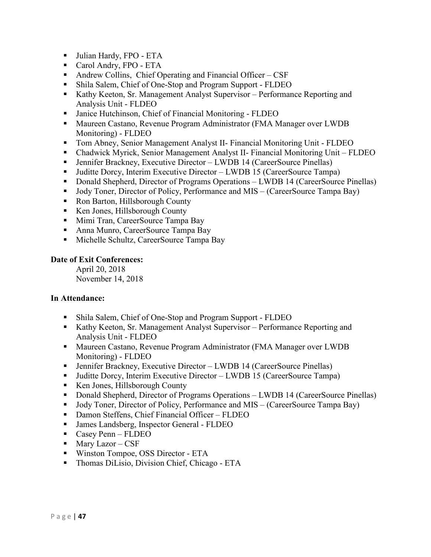- Julian Hardy, FPO ETA
- Carol Andry, FPO ETA
- Andrew Collins, Chief Operating and Financial Officer CSF
- Shila Salem, Chief of One-Stop and Program Support FLDEO
- Kathy Keeton, Sr. Management Analyst Supervisor Performance Reporting and Analysis Unit - FLDEO
- Janice Hutchinson, Chief of Financial Monitoring FLDEO
- **Maureen Castano, Revenue Program Administrator (FMA Manager over LWDB** Monitoring) - FLDEO
- Tom Abney, Senior Management Analyst II- Financial Monitoring Unit FLDEO
- Chadwick Myrick, Senior Management Analyst II- Financial Monitoring Unit FLDEO
- Jennifer Brackney, Executive Director LWDB 14 (CareerSource Pinellas)
- Juditte Dorcy, Interim Executive Director LWDB 15 (CareerSource Tampa)
- Donald Shepherd, Director of Programs Operations LWDB 14 (CareerSource Pinellas)
- Jody Toner, Director of Policy, Performance and MIS (CareerSource Tampa Bay)
- Ron Barton, Hillsborough County
- Ken Jones, Hillsborough County
- **Mimi Tran, CareerSource Tampa Bay**
- Anna Munro, CareerSource Tampa Bay
- Michelle Schultz, CareerSource Tampa Bay

## **Date of Exit Conferences:**

April 20, 2018 November 14, 2018

## **In Attendance:**

- Shila Salem, Chief of One-Stop and Program Support FLDEO
- Kathy Keeton, Sr. Management Analyst Supervisor Performance Reporting and Analysis Unit - FLDEO
- **Maureen Castano, Revenue Program Administrator (FMA Manager over LWDB** Monitoring) - FLDEO
- Jennifer Brackney, Executive Director LWDB 14 (CareerSource Pinellas)
- Juditte Dorcy, Interim Executive Director LWDB 15 (CareerSource Tampa)
- Ken Jones, Hillsborough County
- Donald Shepherd, Director of Programs Operations LWDB 14 (CareerSource Pinellas)
- Jody Toner, Director of Policy, Performance and MIS (CareerSource Tampa Bay)
- Damon Steffens, Chief Financial Officer FLDEO
- James Landsberg, Inspector General FLDEO
- Casey Penn FLDEO
- $\blacksquare$  Mary Lazor CSF
- Winston Tompoe, OSS Director ETA
- **Thomas DiLisio, Division Chief, Chicago ETA**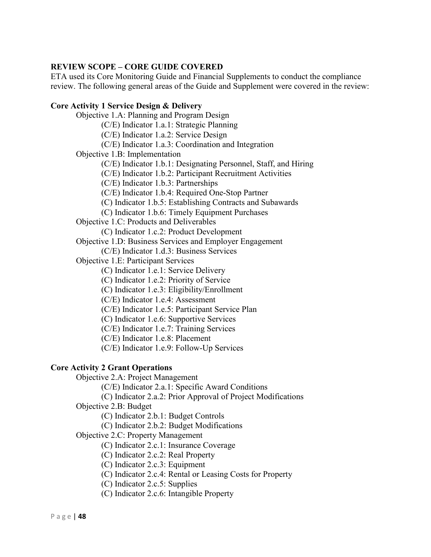#### <span id="page-49-0"></span>**REVIEW SCOPE – CORE GUIDE COVERED**

ETA used its Core Monitoring Guide and Financial Supplements to conduct the compliance review. The following general areas of the Guide and Supplement were covered in the review:

#### **Core Activity 1 Service Design & Delivery**

Objective 1.A: Planning and Program Design (C/E) Indicator 1.a.1: Strategic Planning (C/E) Indicator 1.a.2: Service Design (C/E) Indicator 1.a.3: Coordination and Integration Objective 1.B: Implementation (C/E) Indicator 1.b.1: Designating Personnel, Staff, and Hiring (C/E) Indicator 1.b.2: Participant Recruitment Activities (C/E) Indicator 1.b.3: Partnerships (C/E) Indicator 1.b.4: Required One-Stop Partner (C) Indicator 1.b.5: Establishing Contracts and Subawards (C) Indicator 1.b.6: Timely Equipment Purchases Objective 1.C: Products and Deliverables (C) Indicator 1.c.2: Product Development Objective 1.D: Business Services and Employer Engagement (C/E) Indicator 1.d.3: Business Services Objective 1.E: Participant Services (C) Indicator 1.e.1: Service Delivery (C) Indicator 1.e.2: Priority of Service (C) Indicator 1.e.3: Eligibility/Enrollment (C/E) Indicator 1.e.4: Assessment (C/E) Indicator 1.e.5: Participant Service Plan (C) Indicator 1.e.6: Supportive Services (C/E) Indicator 1.e.7: Training Services (C/E) Indicator 1.e.8: Placement

(C/E) Indicator 1.e.9: Follow-Up Services

#### **Core Activity 2 Grant Operations**

Objective 2.A: Project Management

(C/E) Indicator 2.a.1: Specific Award Conditions

(C) Indicator 2.a.2: Prior Approval of Project Modifications

Objective 2.B: Budget

(C) Indicator 2.b.1: Budget Controls

(C) Indicator 2.b.2: Budget Modifications

Objective 2.C: Property Management

(C) Indicator 2.c.1: Insurance Coverage

(C) Indicator 2.c.2: Real Property

- (C) Indicator 2.c.3: Equipment
- (C) Indicator 2.c.4: Rental or Leasing Costs for Property
- (C) Indicator 2.c.5: Supplies
- (C) Indicator 2.c.6: Intangible Property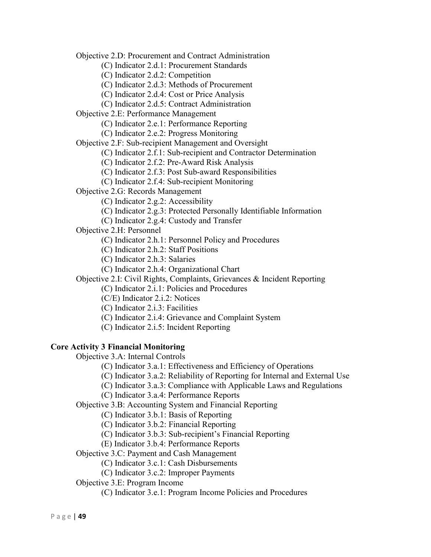Objective 2.D: Procurement and Contract Administration

(C) Indicator 2.d.1: Procurement Standards

(C) Indicator 2.d.2: Competition

(C) Indicator 2.d.3: Methods of Procurement

(C) Indicator 2.d.4: Cost or Price Analysis

(C) Indicator 2.d.5: Contract Administration

Objective 2.E: Performance Management

(C) Indicator 2.e.1: Performance Reporting

(C) Indicator 2.e.2: Progress Monitoring

Objective 2.F: Sub-recipient Management and Oversight

(C) Indicator 2.f.1: Sub-recipient and Contractor Determination

(C) Indicator 2.f.2: Pre-Award Risk Analysis

(C) Indicator 2.f.3: Post Sub-award Responsibilities

(C) Indicator 2.f.4: Sub-recipient Monitoring

Objective 2.G: Records Management

(C) Indicator 2.g.2: Accessibility

(C) Indicator 2.g.3: Protected Personally Identifiable Information

(C) Indicator 2.g.4: Custody and Transfer

Objective 2.H: Personnel

(C) Indicator 2.h.1: Personnel Policy and Procedures

(C) Indicator 2.h.2: Staff Positions

(C) Indicator 2.h.3: Salaries

(C) Indicator 2.h.4: Organizational Chart

Objective 2.I: Civil Rights, Complaints, Grievances & Incident Reporting

(C) Indicator 2.i.1: Policies and Procedures

(C/E) Indicator 2.i.2: Notices

(C) Indicator 2.i.3: Facilities

(C) Indicator 2.i.4: Grievance and Complaint System

(C) Indicator 2.i.5: Incident Reporting

#### **Core Activity 3 Financial Monitoring**

Objective 3.A: Internal Controls

(C) Indicator 3.a.1: Effectiveness and Efficiency of Operations

(C) Indicator 3.a.2: Reliability of Reporting for Internal and External Use

(C) Indicator 3.a.3: Compliance with Applicable Laws and Regulations

(C) Indicator 3.a.4: Performance Reports

Objective 3.B: Accounting System and Financial Reporting

(C) Indicator 3.b.1: Basis of Reporting

(C) Indicator 3.b.2: Financial Reporting

(C) Indicator 3.b.3: Sub-recipient's Financial Reporting

(E) Indicator 3.b.4: Performance Reports

Objective 3.C: Payment and Cash Management

(C) Indicator 3.c.1: Cash Disbursements

(C) Indicator 3.c.2: Improper Payments

Objective 3.E: Program Income

(C) Indicator 3.e.1: Program Income Policies and Procedures